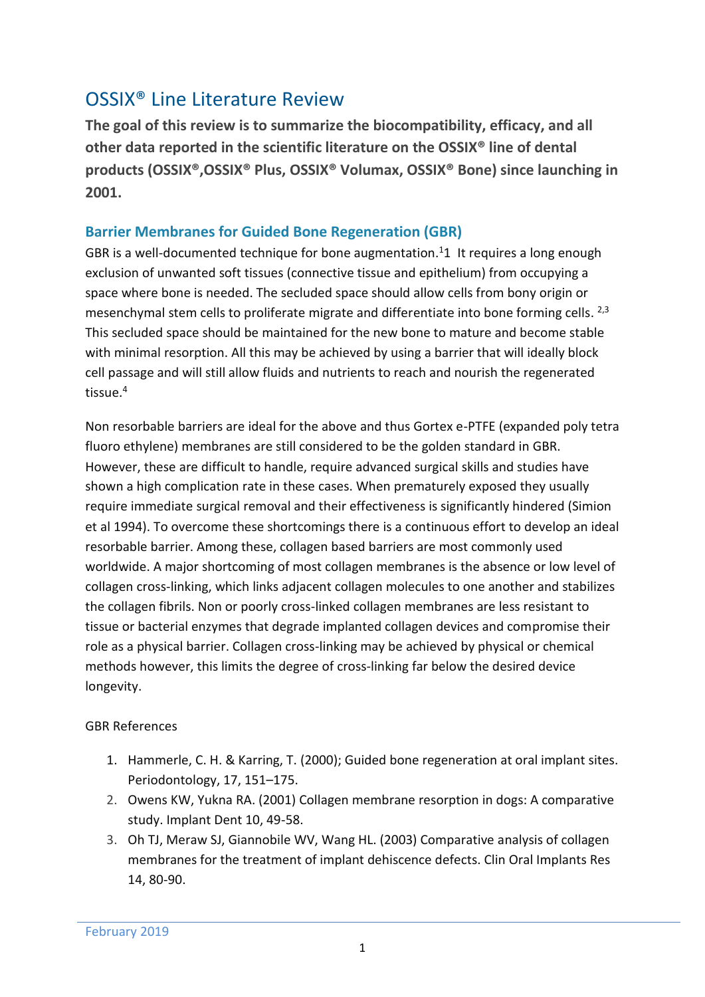## OSSIX® Line Literature Review

**The goal of this review is to summarize the biocompatibility, efficacy, and all other data reported in the scientific literature on the OSSIX® line of dental products (OSSIX®,OSSIX® Plus, OSSIX® Volumax, OSSIX® Bone) since launching in 2001.**

#### **Barrier Membranes for Guided Bone Regeneration (GBR)**

GBR is a well-documented technique for bone augmentation.<sup>[1](#page-0-0)</sup>1 It requires a long enough exclusion of unwanted soft tissues (connective tissue and epithelium) from occupying a space where bone is needed. The secluded space should allow cells from bony origin or mesenchymal stem cells to proliferate migrate and differentiate into bone forming cells. <sup>2,3</sup> This secluded space should be maintained for the new bone to mature and become stable with minimal resorption. All this may be achieved by using a barrier that will ideally block cell passage and will still allow fluids and nutrients to reach and nourish the regenerated tissue. 4

Non resorbable barriers are ideal for the above and thus Gortex e-PTFE (expanded poly tetra fluoro ethylene) membranes are still considered to be the golden standard in GBR. However, these are difficult to handle, require advanced surgical skills and studies have shown a high complication rate in these cases. When prematurely exposed they usually require immediate surgical removal and their effectiveness is significantly hindered (Simion et al 1994). To overcome these shortcomings there is a continuous effort to develop an ideal resorbable barrier. Among these, collagen based barriers are most commonly used worldwide. A major shortcoming of most collagen membranes is the absence or low level of collagen cross-linking, which links adjacent collagen molecules to one another and stabilizes the collagen fibrils. Non or poorly cross-linked collagen membranes are less resistant to tissue or bacterial enzymes that degrade implanted collagen devices and compromise their role as a physical barrier. Collagen cross-linking may be achieved by physical or chemical methods however, this limits the degree of cross-linking far below the desired device longevity.

#### GBR References

- <span id="page-0-0"></span>1. Hammerle, C. H. & Karring, T. (2000); Guided bone regeneration at oral implant sites. Periodontology, 17, 151–175.
- 2. Owens KW, Yukna RA. (2001) Collagen membrane resorption in dogs: A comparative study. Implant Dent 10, 49-58.
- 3. Oh TJ, Meraw SJ, Giannobile WV, Wang HL. (2003) Comparative analysis of collagen membranes for the treatment of implant dehiscence defects. Clin Oral Implants Res 14, 80-90.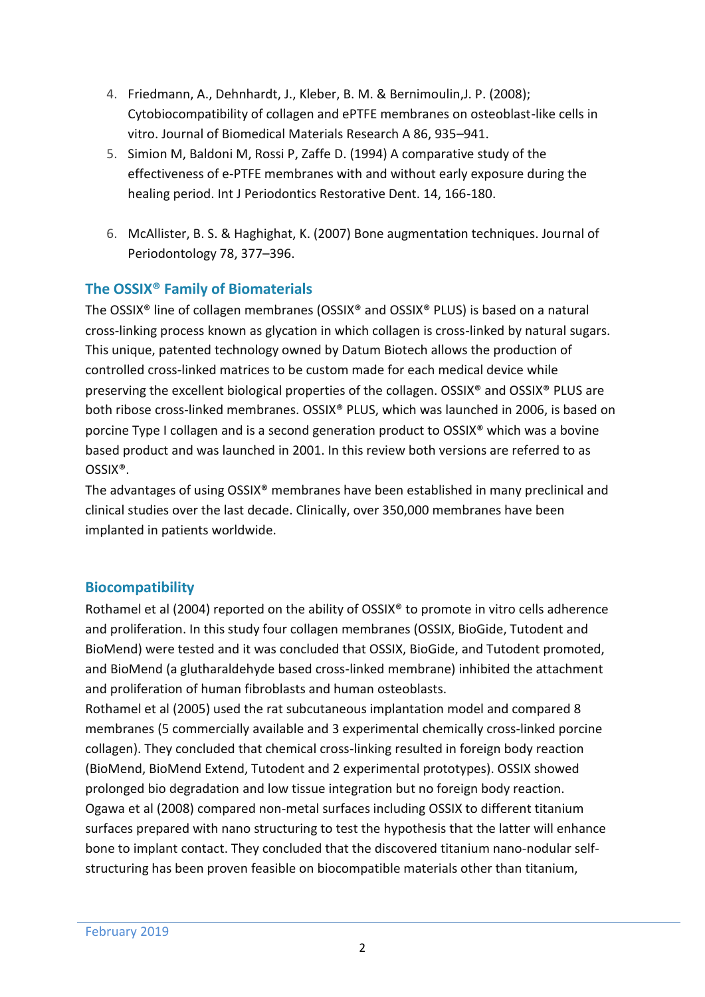- 4. Friedmann, A., Dehnhardt, J., Kleber, B. M. & Bernimoulin,J. P. (2008); Cytobiocompatibility of collagen and ePTFE membranes on osteoblast-like cells in vitro. Journal of Biomedical Materials Research A 86, 935–941.
- 5. Simion M, Baldoni M, Rossi P, Zaffe D. (1994) A comparative study of the effectiveness of e-PTFE membranes with and without early exposure during the healing period. Int J Periodontics Restorative Dent. 14, 166-180.
- 6. McAllister, B. S. & Haghighat, K. (2007) Bone augmentation techniques. Journal of Periodontology 78, 377–396.

## **The OSSIX® Family of Biomaterials**

The OSSIX® line of collagen membranes (OSSIX® and OSSIX® PLUS) is based on a natural cross-linking process known as glycation in which collagen is cross-linked by natural sugars. This unique, patented technology owned by Datum Biotech allows the production of controlled cross-linked matrices to be custom made for each medical device while preserving the excellent biological properties of the collagen. OSSIX® and OSSIX® PLUS are both ribose cross-linked membranes. OSSIX® PLUS, which was launched in 2006, is based on porcine Type I collagen and is a second generation product to OSSIX® which was a bovine based product and was launched in 2001. In this review both versions are referred to as OSSIX®.

The advantages of using OSSIX® membranes have been established in many preclinical and clinical studies over the last decade. Clinically, over 350,000 membranes have been implanted in patients worldwide.

## **Biocompatibility**

Rothamel et al (2004) reported on the ability of OSSIX® to promote in vitro cells adherence and proliferation. In this study four collagen membranes (OSSIX, BioGide, Tutodent and BioMend) were tested and it was concluded that OSSIX, BioGide, and Tutodent promoted, and BioMend (a glutharaldehyde based cross-linked membrane) inhibited the attachment and proliferation of human fibroblasts and human osteoblasts.

Rothamel et al (2005) used the rat subcutaneous implantation model and compared 8 membranes (5 commercially available and 3 experimental chemically cross-linked porcine collagen). They concluded that chemical cross-linking resulted in foreign body reaction (BioMend, BioMend Extend, Tutodent and 2 experimental prototypes). OSSIX showed prolonged bio degradation and low tissue integration but no foreign body reaction. Ogawa et al (2008) compared non-metal surfaces including OSSIX to different titanium surfaces prepared with nano structuring to test the hypothesis that the latter will enhance bone to implant contact. They concluded that the discovered titanium nano-nodular selfstructuring has been proven feasible on biocompatible materials other than titanium,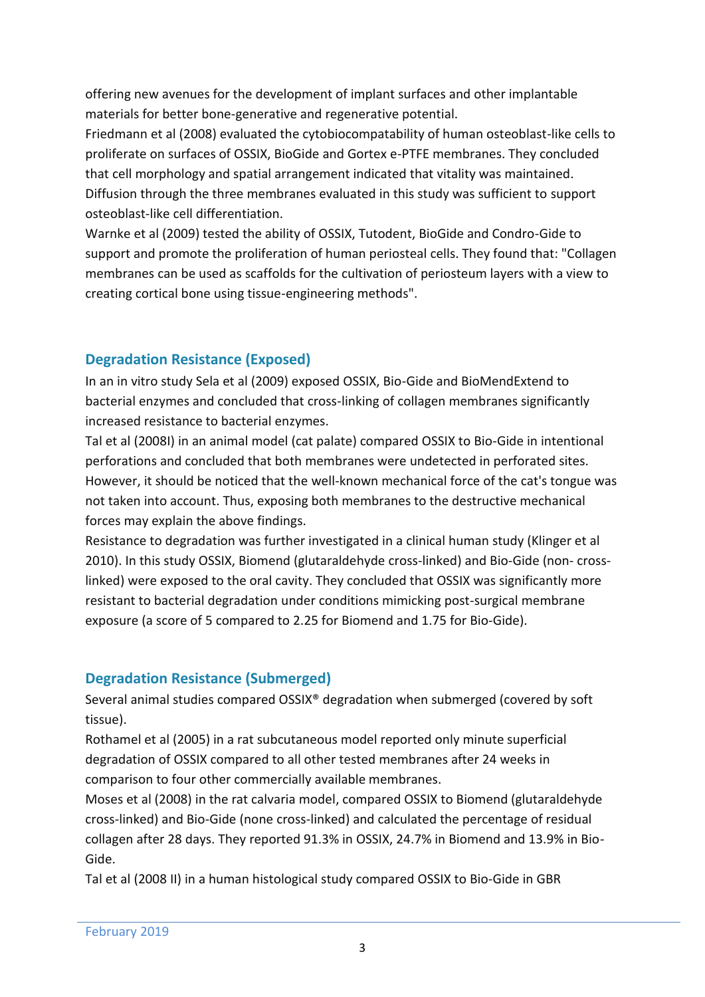offering new avenues for the development of implant surfaces and other implantable materials for better bone-generative and regenerative potential.

Friedmann et al (2008) evaluated the cytobiocompatability of human osteoblast-like cells to proliferate on surfaces of OSSIX, BioGide and Gortex e-PTFE membranes. They concluded that cell morphology and spatial arrangement indicated that vitality was maintained. Diffusion through the three membranes evaluated in this study was sufficient to support osteoblast-like cell differentiation.

Warnke et al (2009) tested the ability of OSSIX, Tutodent, BioGide and Condro-Gide to support and promote the proliferation of human periosteal cells. They found that: "Collagen membranes can be used as scaffolds for the cultivation of periosteum layers with a view to creating cortical bone using tissue-engineering methods".

## **Degradation Resistance (Exposed)**

In an in vitro study Sela et al (2009) exposed OSSIX, Bio-Gide and BioMendExtend to bacterial enzymes and concluded that cross-linking of collagen membranes significantly increased resistance to bacterial enzymes.

Tal et al (2008I) in an animal model (cat palate) compared OSSIX to Bio-Gide in intentional perforations and concluded that both membranes were undetected in perforated sites. However, it should be noticed that the well-known mechanical force of the cat's tongue was not taken into account. Thus, exposing both membranes to the destructive mechanical forces may explain the above findings.

Resistance to degradation was further investigated in a clinical human study (Klinger et al 2010). In this study OSSIX, Biomend (glutaraldehyde cross-linked) and Bio-Gide (non- crosslinked) were exposed to the oral cavity. They concluded that OSSIX was significantly more resistant to bacterial degradation under conditions mimicking post-surgical membrane exposure (a score of 5 compared to 2.25 for Biomend and 1.75 for Bio-Gide).

## **Degradation Resistance (Submerged)**

Several animal studies compared OSSIX® degradation when submerged (covered by soft tissue).

Rothamel et al (2005) in a rat subcutaneous model reported only minute superficial degradation of OSSIX compared to all other tested membranes after 24 weeks in comparison to four other commercially available membranes.

Moses et al (2008) in the rat calvaria model, compared OSSIX to Biomend (glutaraldehyde cross-linked) and Bio-Gide (none cross-linked) and calculated the percentage of residual collagen after 28 days. They reported 91.3% in OSSIX, 24.7% in Biomend and 13.9% in Bio-Gide.

Tal et al (2008 II) in a human histological study compared OSSIX to Bio-Gide in GBR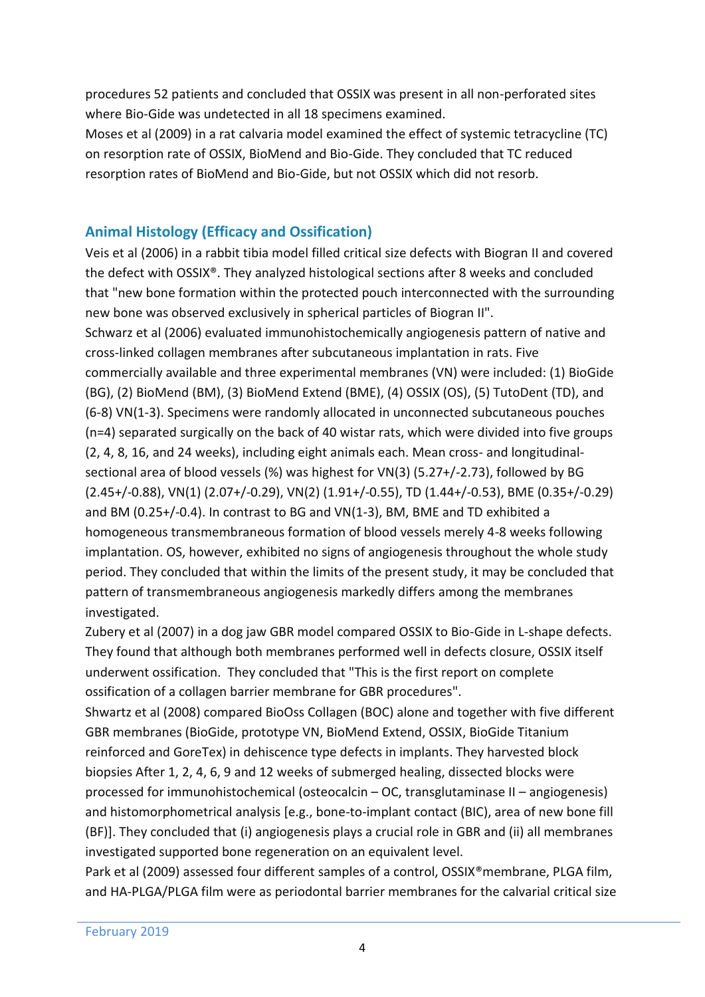procedures 52 patients and concluded that OSSIX was present in all non-perforated sites where Bio-Gide was undetected in all 18 specimens examined.

Moses et al (2009) in a rat calvaria model examined the effect of systemic tetracycline (TC) on resorption rate of OSSIX, BioMend and Bio-Gide. They concluded that TC reduced resorption rates of BioMend and Bio-Gide, but not OSSIX which did not resorb.

## **Animal Histology (Efficacy and Ossification)**

Veis et al (2006) in a rabbit tibia model filled critical size defects with Biogran II and covered the defect with OSSIX®. They analyzed histological sections after 8 weeks and concluded that "new bone formation within the protected pouch interconnected with the surrounding new bone was observed exclusively in spherical particles of Biogran II".

Schwarz et al (2006) evaluated immunohistochemically angiogenesis pattern of native and cross-linked collagen membranes after subcutaneous implantation in rats. Five commercially available and three experimental membranes (VN) were included: (1) BioGide (BG), (2) BioMend (BM), (3) BioMend Extend (BME), (4) OSSIX (OS), (5) TutoDent (TD), and (6-8) VN(1-3). Specimens were randomly allocated in unconnected subcutaneous pouches (n=4) separated surgically on the back of 40 wistar rats, which were divided into five groups (2, 4, 8, 16, and 24 weeks), including eight animals each. Mean cross- and longitudinalsectional area of blood vessels (%) was highest for VN(3) (5.27+/-2.73), followed by BG (2.45+/-0.88), VN(1) (2.07+/-0.29), VN(2) (1.91+/-0.55), TD (1.44+/-0.53), BME (0.35+/-0.29) and BM (0.25+/-0.4). In contrast to BG and VN(1-3), BM, BME and TD exhibited a homogeneous transmembraneous formation of blood vessels merely 4-8 weeks following implantation. OS, however, exhibited no signs of angiogenesis throughout the whole study period. They concluded that within the limits of the present study, it may be concluded that pattern of transmembraneous angiogenesis markedly differs among the membranes investigated.

Zubery et al (2007) in a dog jaw GBR model compared OSSIX to Bio-Gide in L-shape defects. They found that although both membranes performed well in defects closure, OSSIX itself underwent ossification. They concluded that "This is the first report on complete ossification of a collagen barrier membrane for GBR procedures".

Shwartz et al (2008) compared BioOss Collagen (BOC) alone and together with five different GBR membranes (BioGide, prototype VN, BioMend Extend, OSSIX, BioGide Titanium reinforced and GoreTex) in dehiscence type defects in implants. They harvested block biopsies After 1, 2, 4, 6, 9 and 12 weeks of submerged healing, dissected blocks were processed for immunohistochemical (osteocalcin – OC, transglutaminase II – angiogenesis) and histomorphometrical analysis [e.g., bone-to-implant contact (BIC), area of new bone fill (BF)]. They concluded that (i) angiogenesis plays a crucial role in GBR and (ii) all membranes investigated supported bone regeneration on an equivalent level.

Park et al (2009) assessed four different samples of a control, OSSIX®membrane, PLGA film, and HA-PLGA/PLGA film were as periodontal barrier membranes for the calvarial critical size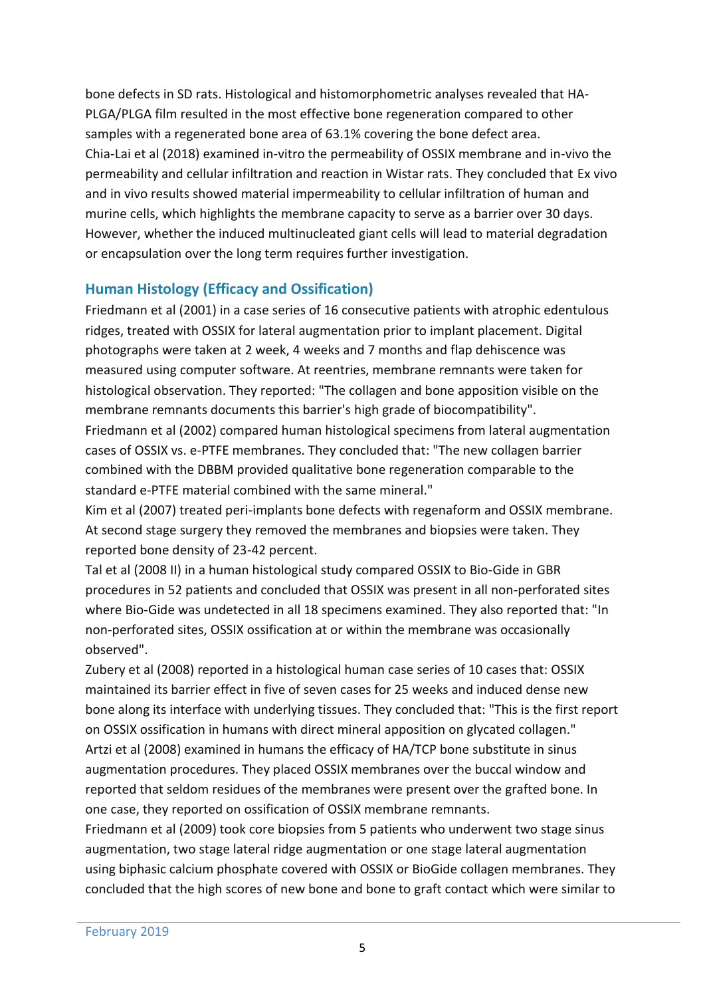bone defects in SD rats. Histological and histomorphometric analyses revealed that HA-PLGA/PLGA film resulted in the most effective bone regeneration compared to other samples with a regenerated bone area of 63.1% covering the bone defect area. Chia-Lai et al (2018) examined in-vitro the permeability of OSSIX membrane and in-vivo the permeability and cellular infiltration and reaction in Wistar rats. They concluded that Ex vivo and in vivo results showed material impermeability to cellular infiltration of human and murine cells, which highlights the membrane capacity to serve as a barrier over 30 days. However, whether the induced multinucleated giant cells will lead to material degradation or encapsulation over the long term requires further investigation.

#### **Human Histology (Efficacy and Ossification)**

Friedmann et al (2001) in a case series of 16 consecutive patients with atrophic edentulous ridges, treated with OSSIX for lateral augmentation prior to implant placement. Digital photographs were taken at 2 week, 4 weeks and 7 months and flap dehiscence was measured using computer software. At reentries, membrane remnants were taken for histological observation. They reported: "The collagen and bone apposition visible on the membrane remnants documents this barrier's high grade of biocompatibility".

Friedmann et al (2002) compared human histological specimens from lateral augmentation cases of OSSIX vs. e-PTFE membranes. They concluded that: "The new collagen barrier combined with the DBBM provided qualitative bone regeneration comparable to the standard e-PTFE material combined with the same mineral."

Kim et al (2007) treated peri-implants bone defects with regenaform and OSSIX membrane. At second stage surgery they removed the membranes and biopsies were taken. They reported bone density of 23-42 percent.

Tal et al (2008 II) in a human histological study compared OSSIX to Bio-Gide in GBR procedures in 52 patients and concluded that OSSIX was present in all non-perforated sites where Bio-Gide was undetected in all 18 specimens examined. They also reported that: "In non-perforated sites, OSSIX ossification at or within the membrane was occasionally observed".

Zubery et al (2008) reported in a histological human case series of 10 cases that: OSSIX maintained its barrier effect in five of seven cases for 25 weeks and induced dense new bone along its interface with underlying tissues. They concluded that: "This is the first report on OSSIX ossification in humans with direct mineral apposition on glycated collagen." Artzi et al (2008) examined in humans the efficacy of HA/TCP bone substitute in sinus augmentation procedures. They placed OSSIX membranes over the buccal window and reported that seldom residues of the membranes were present over the grafted bone. In one case, they reported on ossification of OSSIX membrane remnants.

Friedmann et al (2009) took core biopsies from 5 patients who underwent two stage sinus augmentation, two stage lateral ridge augmentation or one stage lateral augmentation using biphasic calcium phosphate covered with OSSIX or BioGide collagen membranes. They concluded that the high scores of new bone and bone to graft contact which were similar to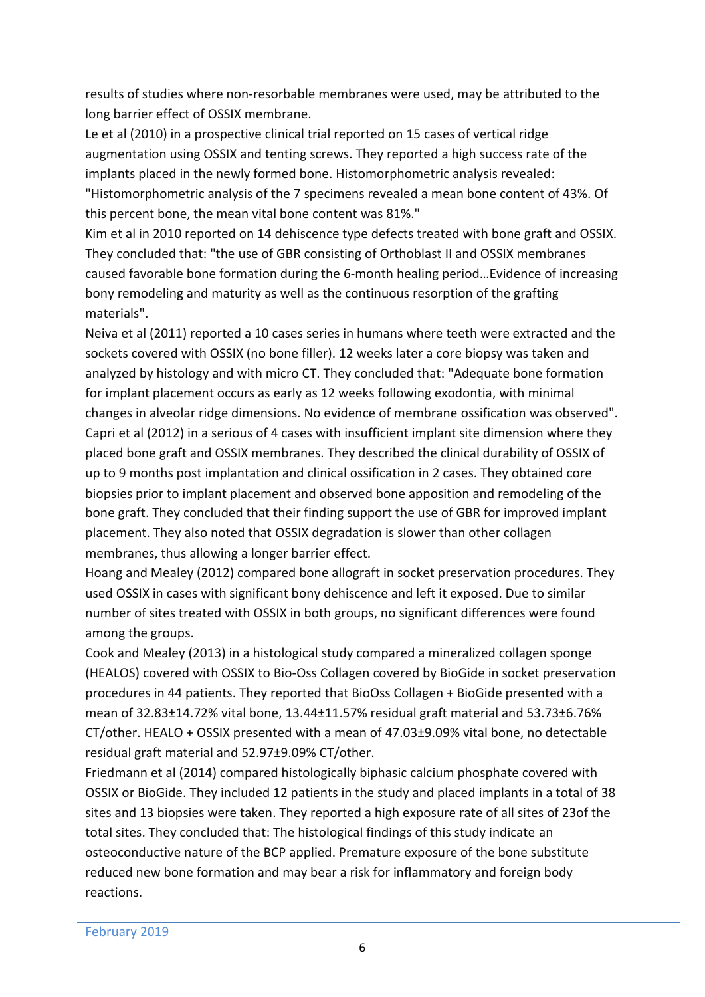results of studies where non-resorbable membranes were used, may be attributed to the long barrier effect of OSSIX membrane.

Le et al (2010) in a prospective clinical trial reported on 15 cases of vertical ridge augmentation using OSSIX and tenting screws. They reported a high success rate of the implants placed in the newly formed bone. Histomorphometric analysis revealed: "Histomorphometric analysis of the 7 specimens revealed a mean bone content of 43%. Of this percent bone, the mean vital bone content was 81%."

Kim et al in 2010 reported on 14 dehiscence type defects treated with bone graft and OSSIX. They concluded that: "the use of GBR consisting of Orthoblast II and OSSIX membranes caused favorable bone formation during the 6-month healing period…Evidence of increasing bony remodeling and maturity as well as the continuous resorption of the grafting materials".

Neiva et al (2011) reported a 10 cases series in humans where teeth were extracted and the sockets covered with OSSIX (no bone filler). 12 weeks later a core biopsy was taken and analyzed by histology and with micro CT. They concluded that: "Adequate bone formation for implant placement occurs as early as 12 weeks following exodontia, with minimal changes in alveolar ridge dimensions. No evidence of membrane ossification was observed". Capri et al (2012) in a serious of 4 cases with insufficient implant site dimension where they placed bone graft and OSSIX membranes. They described the clinical durability of OSSIX of up to 9 months post implantation and clinical ossification in 2 cases. They obtained core biopsies prior to implant placement and observed bone apposition and remodeling of the bone graft. They concluded that their finding support the use of GBR for improved implant placement. They also noted that OSSIX degradation is slower than other collagen membranes, thus allowing a longer barrier effect.

Hoang and Mealey (2012) compared bone allograft in socket preservation procedures. They used OSSIX in cases with significant bony dehiscence and left it exposed. Due to similar number of sites treated with OSSIX in both groups, no significant differences were found among the groups.

Cook and Mealey (2013) in a histological study compared a mineralized collagen sponge (HEALOS) covered with OSSIX to Bio-Oss Collagen covered by BioGide in socket preservation procedures in 44 patients. They reported that BioOss Collagen + BioGide presented with a mean of 32.83±14.72% vital bone, 13.44±11.57% residual graft material and 53.73±6.76% CT/other. HEALO + OSSIX presented with a mean of 47.03±9.09% vital bone, no detectable residual graft material and 52.97±9.09% CT/other.

Friedmann et al (2014) compared histologically biphasic calcium phosphate covered with OSSIX or BioGide. They included 12 patients in the study and placed implants in a total of 38 sites and 13 biopsies were taken. They reported a high exposure rate of all sites of 23of the total sites. They concluded that: The histological findings of this study indicate an osteoconductive nature of the BCP applied. Premature exposure of the bone substitute reduced new bone formation and may bear a risk for inflammatory and foreign body reactions.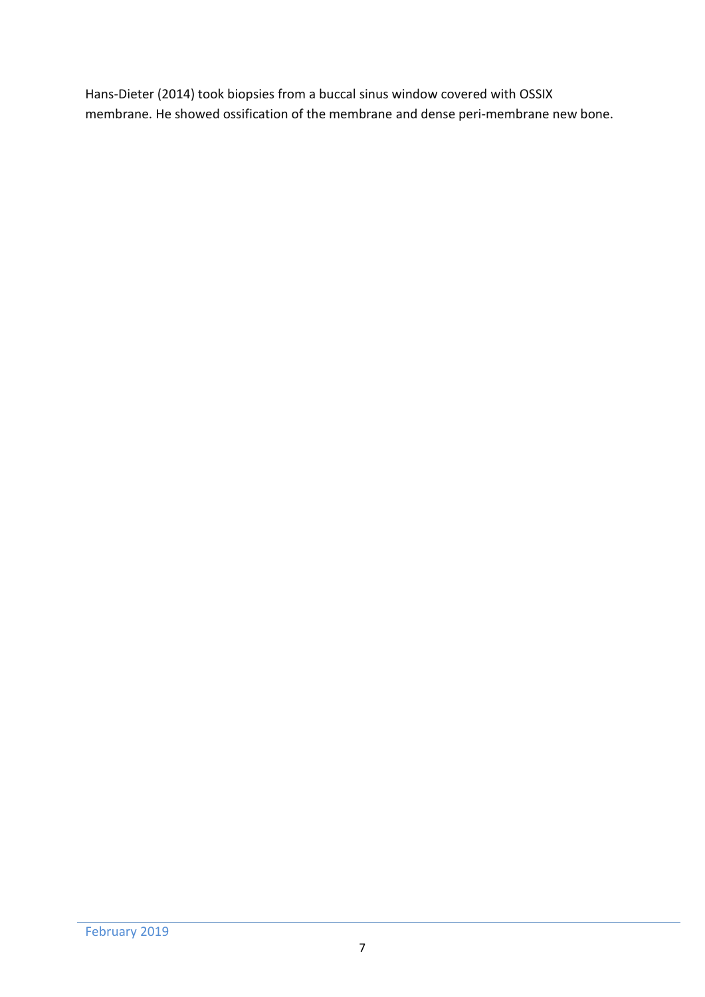Hans-Dieter (2014) took biopsies from a buccal sinus window covered with OSSIX membrane. He showed ossification of the membrane and dense peri-membrane new bone.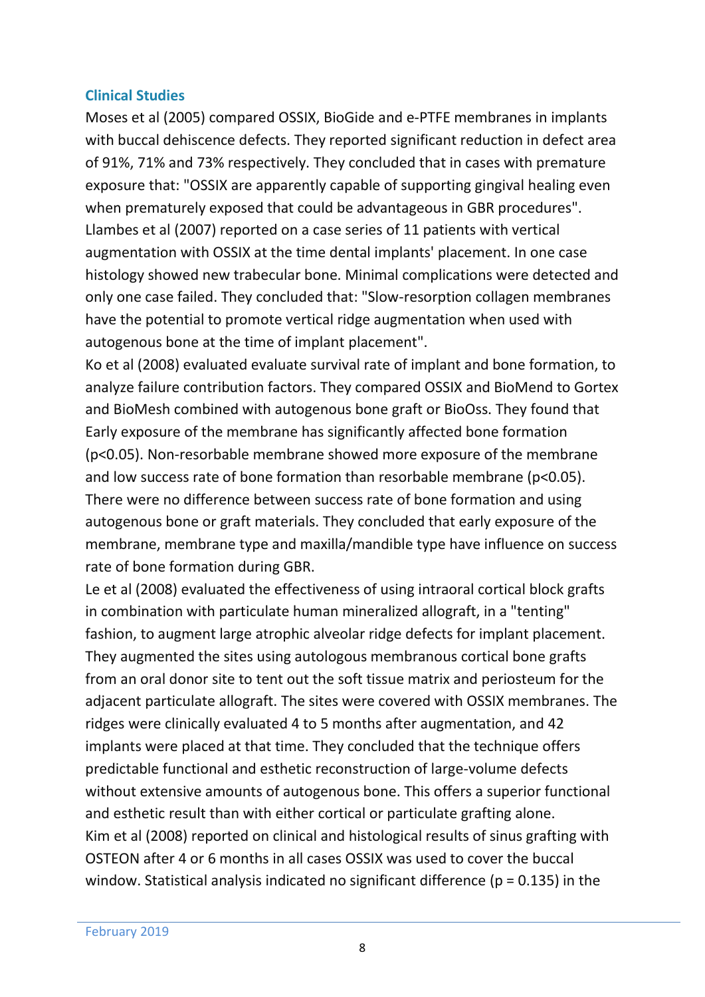#### **Clinical Studies**

Moses et al (2005) compared OSSIX, BioGide and e-PTFE membranes in implants with buccal dehiscence defects. They reported significant reduction in defect area of 91%, 71% and 73% respectively. They concluded that in cases with premature exposure that: "OSSIX are apparently capable of supporting gingival healing even when prematurely exposed that could be advantageous in GBR procedures". Llambes et al (2007) reported on a case series of 11 patients with vertical augmentation with OSSIX at the time dental implants' placement. In one case histology showed new trabecular bone. Minimal complications were detected and only one case failed. They concluded that: "Slow-resorption collagen membranes have the potential to promote vertical ridge augmentation when used with autogenous bone at the time of implant placement".

Ko et al (2008) evaluated evaluate survival rate of implant and bone formation, to analyze failure contribution factors. They compared OSSIX and BioMend to Gortex and BioMesh combined with autogenous bone graft or BioOss. They found that Early exposure of the membrane has significantly affected bone formation (p<0.05). Non-resorbable membrane showed more exposure of the membrane and low success rate of bone formation than resorbable membrane (p<0.05). There were no difference between success rate of bone formation and using autogenous bone or graft materials. They concluded that early exposure of the membrane, membrane type and maxilla/mandible type have influence on success rate of bone formation during GBR.

Le et al (2008) evaluated the effectiveness of using intraoral cortical block grafts in combination with particulate human mineralized allograft, in a "tenting" fashion, to augment large atrophic alveolar ridge defects for implant placement. They augmented the sites using autologous membranous cortical bone grafts from an oral donor site to tent out the soft tissue matrix and periosteum for the adjacent particulate allograft. The sites were covered with OSSIX membranes. The ridges were clinically evaluated 4 to 5 months after augmentation, and 42 implants were placed at that time. They concluded that the technique offers predictable functional and esthetic reconstruction of large-volume defects without extensive amounts of autogenous bone. This offers a superior functional and esthetic result than with either cortical or particulate grafting alone. Kim et al (2008) reported on clinical and histological results of sinus grafting with OSTEON after 4 or 6 months in all cases OSSIX was used to cover the buccal window. Statistical analysis indicated no significant difference ( $p = 0.135$ ) in the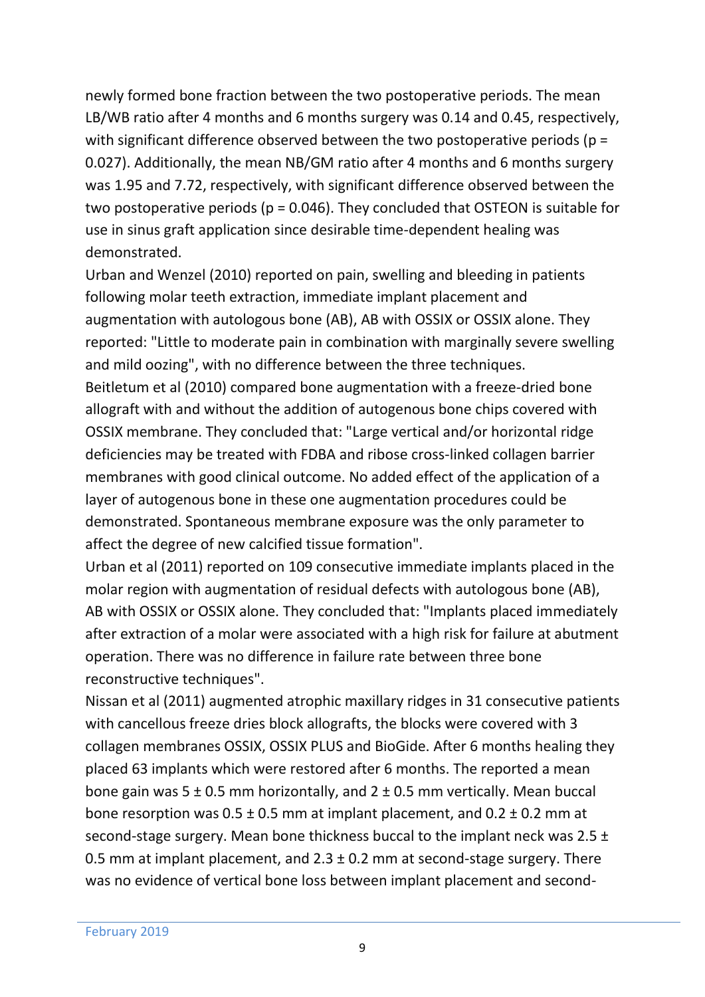newly formed bone fraction between the two postoperative periods. The mean LB/WB ratio after 4 months and 6 months surgery was 0.14 and 0.45, respectively, with significant difference observed between the two postoperative periods (p = 0.027). Additionally, the mean NB/GM ratio after 4 months and 6 months surgery was 1.95 and 7.72, respectively, with significant difference observed between the two postoperative periods ( $p = 0.046$ ). They concluded that OSTEON is suitable for use in sinus graft application since desirable time-dependent healing was demonstrated.

Urban and Wenzel (2010) reported on pain, swelling and bleeding in patients following molar teeth extraction, immediate implant placement and augmentation with autologous bone (AB), AB with OSSIX or OSSIX alone. They reported: "Little to moderate pain in combination with marginally severe swelling and mild oozing", with no difference between the three techniques.

Beitletum et al (2010) compared bone augmentation with a freeze-dried bone allograft with and without the addition of autogenous bone chips covered with OSSIX membrane. They concluded that: "Large vertical and/or horizontal ridge deficiencies may be treated with FDBA and ribose cross-linked collagen barrier membranes with good clinical outcome. No added effect of the application of a layer of autogenous bone in these one augmentation procedures could be demonstrated. Spontaneous membrane exposure was the only parameter to affect the degree of new calcified tissue formation".

Urban et al (2011) reported on 109 consecutive immediate implants placed in the molar region with augmentation of residual defects with autologous bone (AB), AB with OSSIX or OSSIX alone. They concluded that: "Implants placed immediately after extraction of a molar were associated with a high risk for failure at abutment operation. There was no difference in failure rate between three bone reconstructive techniques".

Nissan et al (2011) augmented atrophic maxillary ridges in 31 consecutive patients with cancellous freeze dries block allografts, the blocks were covered with 3 collagen membranes OSSIX, OSSIX PLUS and BioGide. After 6 months healing they placed 63 implants which were restored after 6 months. The reported a mean bone gain was  $5 \pm 0.5$  mm horizontally, and  $2 \pm 0.5$  mm vertically. Mean buccal bone resorption was  $0.5 \pm 0.5$  mm at implant placement, and  $0.2 \pm 0.2$  mm at second-stage surgery. Mean bone thickness buccal to the implant neck was 2.5 ± 0.5 mm at implant placement, and  $2.3 \pm 0.2$  mm at second-stage surgery. There was no evidence of vertical bone loss between implant placement and second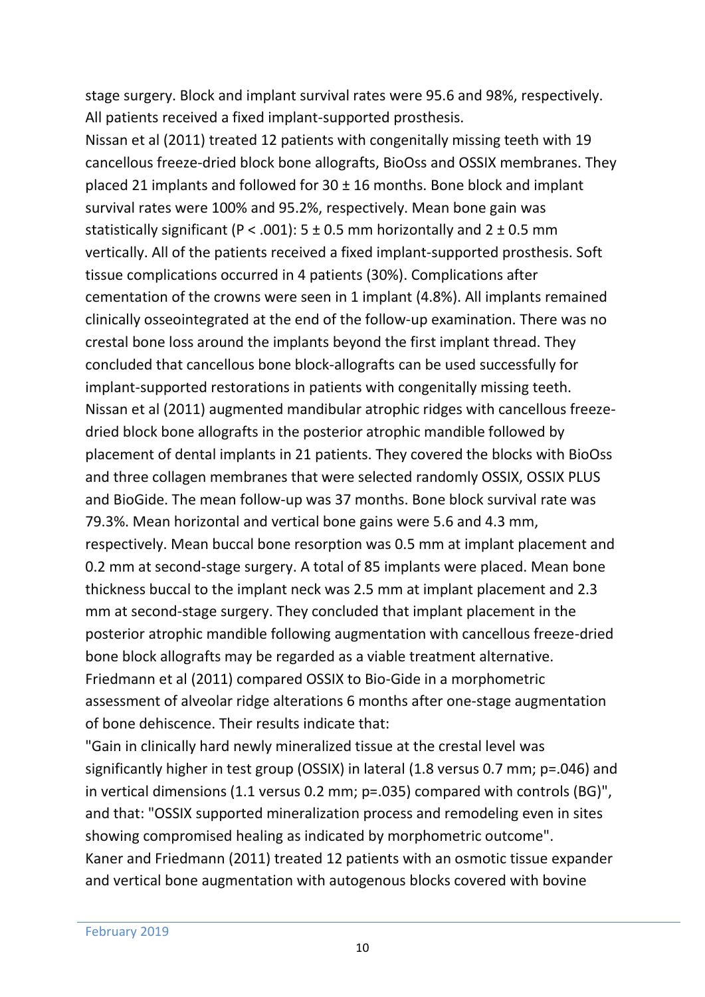stage surgery. Block and implant survival rates were 95.6 and 98%, respectively. All patients received a fixed implant-supported prosthesis.

Nissan et al (2011) treated 12 patients with congenitally missing teeth with 19 cancellous freeze-dried block bone allografts, BioOss and OSSIX membranes. They placed 21 implants and followed for  $30 \pm 16$  months. Bone block and implant survival rates were 100% and 95.2%, respectively. Mean bone gain was statistically significant (P < .001):  $5 \pm 0.5$  mm horizontally and  $2 \pm 0.5$  mm vertically. All of the patients received a fixed implant-supported prosthesis. Soft tissue complications occurred in 4 patients (30%). Complications after cementation of the crowns were seen in 1 implant (4.8%). All implants remained clinically osseointegrated at the end of the follow-up examination. There was no crestal bone loss around the implants beyond the first implant thread. They concluded that cancellous bone block-allografts can be used successfully for implant-supported restorations in patients with congenitally missing teeth. Nissan et al (2011) augmented mandibular atrophic ridges with cancellous freezedried block bone allografts in the posterior atrophic mandible followed by placement of dental implants in 21 patients. They covered the blocks with BioOss and three collagen membranes that were selected randomly OSSIX, OSSIX PLUS and BioGide. The mean follow-up was 37 months. Bone block survival rate was 79.3%. Mean horizontal and vertical bone gains were 5.6 and 4.3 mm, respectively. Mean buccal bone resorption was 0.5 mm at implant placement and 0.2 mm at second-stage surgery. A total of 85 implants were placed. Mean bone thickness buccal to the implant neck was 2.5 mm at implant placement and 2.3 mm at second-stage surgery. They concluded that implant placement in the posterior atrophic mandible following augmentation with cancellous freeze-dried bone block allografts may be regarded as a viable treatment alternative. Friedmann et al (2011) compared OSSIX to Bio-Gide in a morphometric assessment of alveolar ridge alterations 6 months after one-stage augmentation of bone dehiscence. Their results indicate that:

"Gain in clinically hard newly mineralized tissue at the crestal level was significantly higher in test group (OSSIX) in lateral (1.8 versus 0.7 mm; p=.046) and in vertical dimensions (1.1 versus 0.2 mm; p=.035) compared with controls (BG)", and that: "OSSIX supported mineralization process and remodeling even in sites showing compromised healing as indicated by morphometric outcome". Kaner and Friedmann (2011) treated 12 patients with an osmotic tissue expander and vertical bone augmentation with autogenous blocks covered with bovine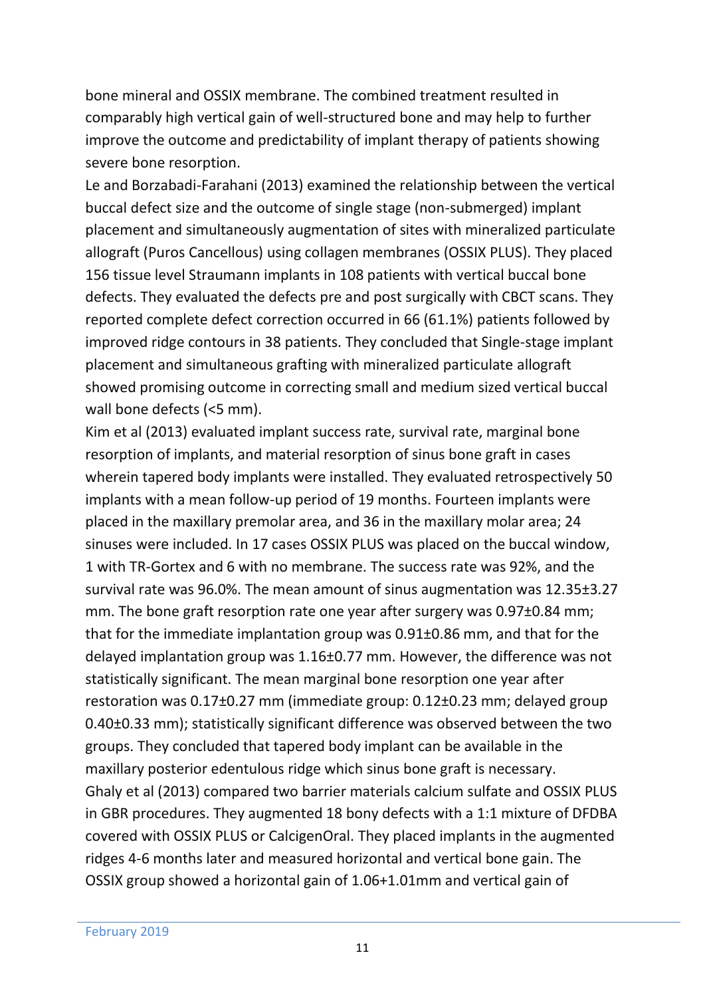bone mineral and OSSIX membrane. The combined treatment resulted in comparably high vertical gain of well-structured bone and may help to further improve the outcome and predictability of implant therapy of patients showing severe bone resorption.

Le and Borzabadi-Farahani (2013) examined the relationship between the vertical buccal defect size and the outcome of single stage (non-submerged) implant placement and simultaneously augmentation of sites with mineralized particulate allograft (Puros Cancellous) using collagen membranes (OSSIX PLUS). They placed 156 tissue level Straumann implants in 108 patients with vertical buccal bone defects. They evaluated the defects pre and post surgically with CBCT scans. They reported complete defect correction occurred in 66 (61.1%) patients followed by improved ridge contours in 38 patients. They concluded that Single-stage implant placement and simultaneous grafting with mineralized particulate allograft showed promising outcome in correcting small and medium sized vertical buccal wall bone defects (<5 mm).

Kim et al (2013) evaluated implant success rate, survival rate, marginal bone resorption of implants, and material resorption of sinus bone graft in cases wherein tapered body implants were installed. They evaluated retrospectively 50 implants with a mean follow-up period of 19 months. Fourteen implants were placed in the maxillary premolar area, and 36 in the maxillary molar area; 24 sinuses were included. In 17 cases OSSIX PLUS was placed on the buccal window, 1 with TR-Gortex and 6 with no membrane. The success rate was 92%, and the survival rate was 96.0%. The mean amount of sinus augmentation was 12.35±3.27 mm. The bone graft resorption rate one year after surgery was 0.97±0.84 mm; that for the immediate implantation group was 0.91±0.86 mm, and that for the delayed implantation group was 1.16±0.77 mm. However, the difference was not statistically significant. The mean marginal bone resorption one year after restoration was 0.17±0.27 mm (immediate group: 0.12±0.23 mm; delayed group 0.40±0.33 mm); statistically significant difference was observed between the two groups. They concluded that tapered body implant can be available in the maxillary posterior edentulous ridge which sinus bone graft is necessary. Ghaly et al (2013) compared two barrier materials calcium sulfate and OSSIX PLUS in GBR procedures. They augmented 18 bony defects with a 1:1 mixture of DFDBA covered with OSSIX PLUS or CalcigenOral. They placed implants in the augmented ridges 4-6 months later and measured horizontal and vertical bone gain. The OSSIX group showed a horizontal gain of 1.06+1.01mm and vertical gain of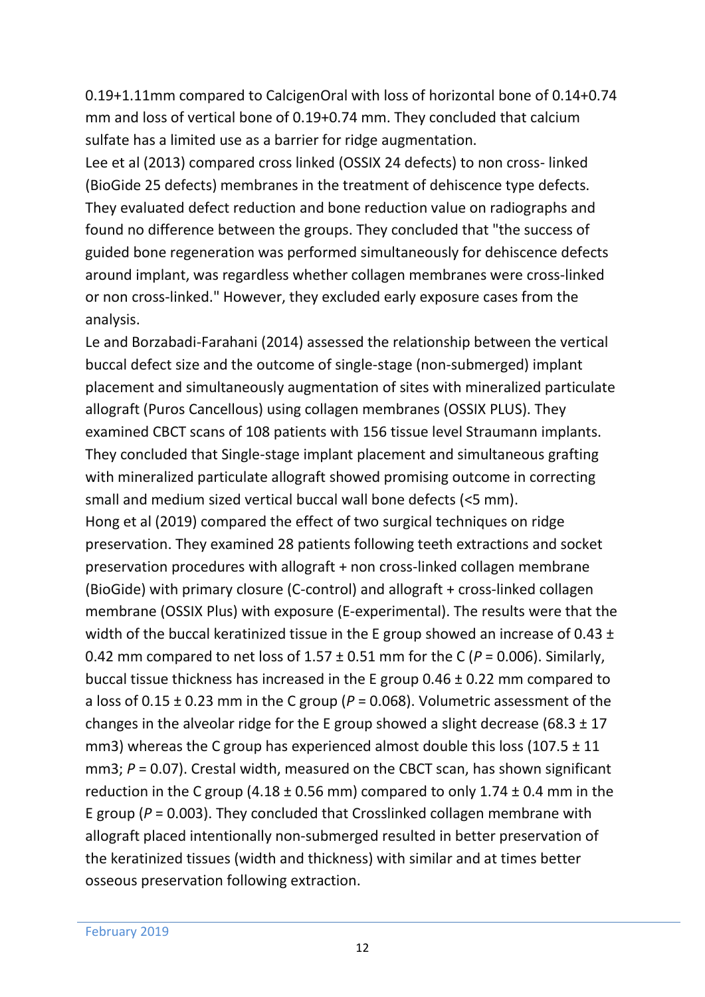0.19+1.11mm compared to CalcigenOral with loss of horizontal bone of 0.14+0.74 mm and loss of vertical bone of 0.19+0.74 mm. They concluded that calcium sulfate has a limited use as a barrier for ridge augmentation.

Lee et al (2013) compared cross linked (OSSIX 24 defects) to non cross- linked (BioGide 25 defects) membranes in the treatment of dehiscence type defects. They evaluated defect reduction and bone reduction value on radiographs and found no difference between the groups. They concluded that "the success of guided bone regeneration was performed simultaneously for dehiscence defects around implant, was regardless whether collagen membranes were cross-linked or non cross-linked." However, they excluded early exposure cases from the analysis.

Le and Borzabadi-Farahani (2014) assessed the relationship between the vertical buccal defect size and the outcome of single-stage (non-submerged) implant placement and simultaneously augmentation of sites with mineralized particulate allograft (Puros Cancellous) using collagen membranes (OSSIX PLUS). They examined CBCT scans of 108 patients with 156 tissue level Straumann implants. They concluded that Single-stage implant placement and simultaneous grafting with mineralized particulate allograft showed promising outcome in correcting small and medium sized vertical buccal wall bone defects (<5 mm). Hong et al (2019) compared the effect of two surgical techniques on ridge preservation. They examined 28 patients following teeth extractions and socket preservation procedures with allograft + non cross-linked collagen membrane (BioGide) with primary closure (C-control) and allograft + cross-linked collagen membrane (OSSIX Plus) with exposure (E-experimental). The results were that the width of the buccal keratinized tissue in the E group showed an increase of 0.43 ±

0.42 mm compared to net loss of  $1.57 \pm 0.51$  mm for the C ( $P = 0.006$ ). Similarly, buccal tissue thickness has increased in the E group 0.46 ± 0.22 mm compared to a loss of 0.15 ± 0.23 mm in the C group (*P* = 0.068). Volumetric assessment of the changes in the alveolar ridge for the E group showed a slight decrease (68.3  $\pm$  17 mm3) whereas the C group has experienced almost double this loss (107.5  $\pm$  11 mm3;  $P = 0.07$ ). Crestal width, measured on the CBCT scan, has shown significant reduction in the C group (4.18  $\pm$  0.56 mm) compared to only 1.74  $\pm$  0.4 mm in the E group ( $P = 0.003$ ). They concluded that Crosslinked collagen membrane with allograft placed intentionally non-submerged resulted in better preservation of the keratinized tissues (width and thickness) with similar and at times better osseous preservation following extraction.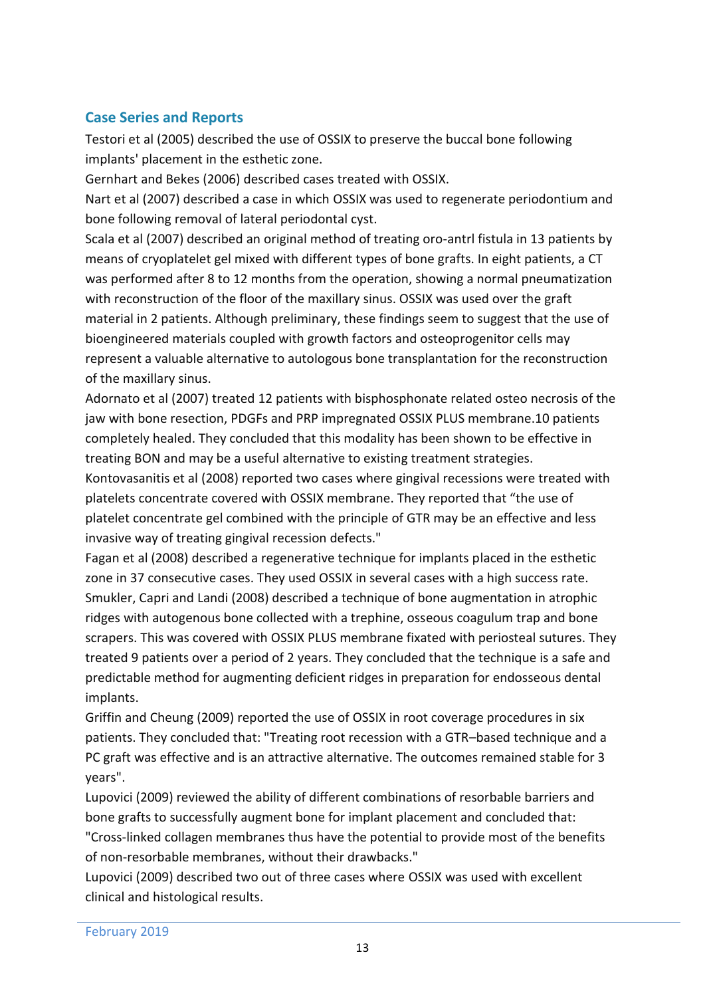#### **Case Series and Reports**

Testori et al (2005) described the use of OSSIX to preserve the buccal bone following implants' placement in the esthetic zone.

Gernhart and Bekes (2006) described cases treated with OSSIX.

Nart et al (2007) described a case in which OSSIX was used to regenerate periodontium and bone following removal of lateral periodontal cyst.

Scala et al (2007) described an original method of treating oro-antrl fistula in 13 patients by means of cryoplatelet gel mixed with different types of bone grafts. In eight patients, a CT was performed after 8 to 12 months from the operation, showing a normal pneumatization with reconstruction of the floor of the maxillary sinus. OSSIX was used over the graft material in 2 patients. Although preliminary, these findings seem to suggest that the use of bioengineered materials coupled with growth factors and osteoprogenitor cells may represent a valuable alternative to autologous bone transplantation for the reconstruction of the maxillary sinus.

Adornato et al (2007) treated 12 patients with bisphosphonate related osteo necrosis of the jaw with bone resection, PDGFs and PRP impregnated OSSIX PLUS membrane.10 patients completely healed. They concluded that this modality has been shown to be effective in treating BON and may be a useful alternative to existing treatment strategies.

Kontovasanitis et al (2008) reported two cases where gingival recessions were treated with platelets concentrate covered with OSSIX membrane. They reported that "the use of platelet concentrate gel combined with the principle of GTR may be an effective and less invasive way of treating gingival recession defects."

Fagan et al (2008) described a regenerative technique for implants placed in the esthetic zone in 37 consecutive cases. They used OSSIX in several cases with a high success rate. Smukler, Capri and Landi (2008) described a technique of bone augmentation in atrophic ridges with autogenous bone collected with a trephine, osseous coagulum trap and bone scrapers. This was covered with OSSIX PLUS membrane fixated with periosteal sutures. They treated 9 patients over a period of 2 years. They concluded that the technique is a safe and predictable method for augmenting deficient ridges in preparation for endosseous dental implants.

Griffin and Cheung (2009) reported the use of OSSIX in root coverage procedures in six patients. They concluded that: "Treating root recession with a GTR–based technique and a PC graft was effective and is an attractive alternative. The outcomes remained stable for 3 years".

Lupovici (2009) reviewed the ability of different combinations of resorbable barriers and bone grafts to successfully augment bone for implant placement and concluded that: "Cross-linked collagen membranes thus have the potential to provide most of the benefits of non-resorbable membranes, without their drawbacks."

Lupovici (2009) described two out of three cases where OSSIX was used with excellent clinical and histological results.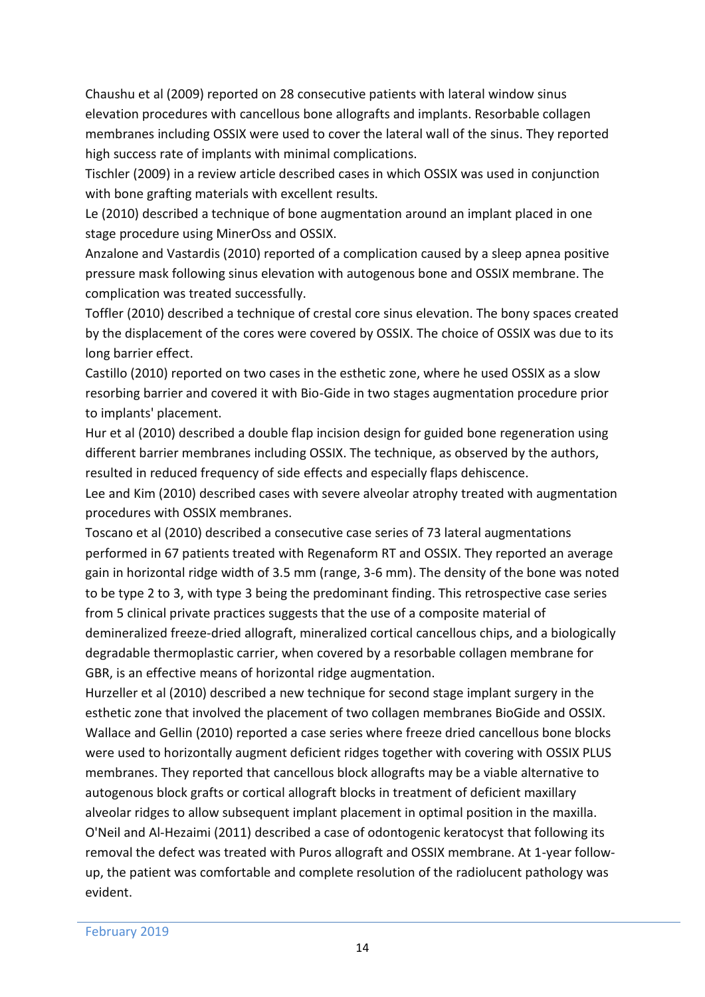Chaushu et al (2009) reported on 28 consecutive patients with lateral window sinus elevation procedures with cancellous bone allografts and implants. Resorbable collagen membranes including OSSIX were used to cover the lateral wall of the sinus. They reported high success rate of implants with minimal complications.

Tischler (2009) in a review article described cases in which OSSIX was used in conjunction with bone grafting materials with excellent results.

Le (2010) described a technique of bone augmentation around an implant placed in one stage procedure using MinerOss and OSSIX.

Anzalone and Vastardis (2010) reported of a complication caused by a sleep apnea positive pressure mask following sinus elevation with autogenous bone and OSSIX membrane. The complication was treated successfully.

Toffler (2010) described a technique of crestal core sinus elevation. The bony spaces created by the displacement of the cores were covered by OSSIX. The choice of OSSIX was due to its long barrier effect.

Castillo (2010) reported on two cases in the esthetic zone, where he used OSSIX as a slow resorbing barrier and covered it with Bio-Gide in two stages augmentation procedure prior to implants' placement.

Hur et al (2010) described a double flap incision design for guided bone regeneration using different barrier membranes including OSSIX. The technique, as observed by the authors, resulted in reduced frequency of side effects and especially flaps dehiscence.

Lee and Kim (2010) described cases with severe alveolar atrophy treated with augmentation procedures with OSSIX membranes.

Toscano et al (2010) described a consecutive case series of 73 lateral augmentations performed in 67 patients treated with Regenaform RT and OSSIX. They reported an average gain in horizontal ridge width of 3.5 mm (range, 3-6 mm). The density of the bone was noted to be type 2 to 3, with type 3 being the predominant finding. This retrospective case series from 5 clinical private practices suggests that the use of a composite material of demineralized freeze-dried allograft, mineralized cortical cancellous chips, and a biologically degradable thermoplastic carrier, when covered by a resorbable collagen membrane for GBR, is an effective means of horizontal ridge augmentation.

Hurzeller et al (2010) described a new technique for second stage implant surgery in the esthetic zone that involved the placement of two collagen membranes BioGide and OSSIX. Wallace and Gellin (2010) reported a case series where freeze dried cancellous bone blocks were used to horizontally augment deficient ridges together with covering with OSSIX PLUS membranes. They reported that cancellous block allografts may be a viable alternative to autogenous block grafts or cortical allograft blocks in treatment of deficient maxillary alveolar ridges to allow subsequent implant placement in optimal position in the maxilla. O'Neil and Al-Hezaimi (2011) described a case of odontogenic keratocyst that following its removal the defect was treated with Puros allograft and OSSIX membrane. At 1-year followup, the patient was comfortable and complete resolution of the radiolucent pathology was evident.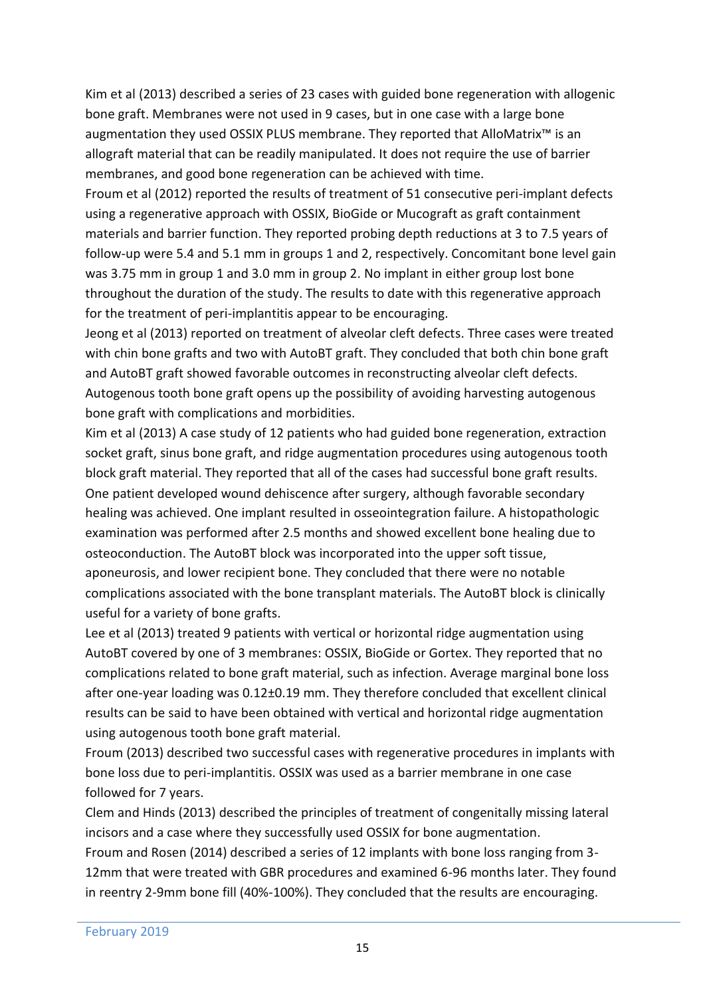Kim et al (2013) described a series of 23 cases with guided bone regeneration with allogenic bone graft. Membranes were not used in 9 cases, but in one case with a large bone augmentation they used OSSIX PLUS membrane. They reported that AlloMatrix™ is an allograft material that can be readily manipulated. It does not require the use of barrier membranes, and good bone regeneration can be achieved with time.

Froum et al (2012) reported the results of treatment of 51 consecutive peri-implant defects using a regenerative approach with OSSIX, BioGide or Mucograft as graft containment materials and barrier function. They reported probing depth reductions at 3 to 7.5 years of follow-up were 5.4 and 5.1 mm in groups 1 and 2, respectively. Concomitant bone level gain was 3.75 mm in group 1 and 3.0 mm in group 2. No implant in either group lost bone throughout the duration of the study. The results to date with this regenerative approach for the treatment of peri-implantitis appear to be encouraging.

Jeong et al (2013) reported on treatment of alveolar cleft defects. Three cases were treated with chin bone grafts and two with AutoBT graft. They concluded that both chin bone graft and AutoBT graft showed favorable outcomes in reconstructing alveolar cleft defects. Autogenous tooth bone graft opens up the possibility of avoiding harvesting autogenous bone graft with complications and morbidities.

Kim et al (2013) A case study of 12 patients who had guided bone regeneration, extraction socket graft, sinus bone graft, and ridge augmentation procedures using autogenous tooth block graft material. They reported that all of the cases had successful bone graft results. One patient developed wound dehiscence after surgery, although favorable secondary healing was achieved. One implant resulted in osseointegration failure. A histopathologic examination was performed after 2.5 months and showed excellent bone healing due to osteoconduction. The AutoBT block was incorporated into the upper soft tissue, aponeurosis, and lower recipient bone. They concluded that there were no notable complications associated with the bone transplant materials. The AutoBT block is clinically useful for a variety of bone grafts.

Lee et al (2013) treated 9 patients with vertical or horizontal ridge augmentation using AutoBT covered by one of 3 membranes: OSSIX, BioGide or Gortex. They reported that no complications related to bone graft material, such as infection. Average marginal bone loss after one-year loading was 0.12±0.19 mm. They therefore concluded that excellent clinical results can be said to have been obtained with vertical and horizontal ridge augmentation using autogenous tooth bone graft material.

Froum (2013) described two successful cases with regenerative procedures in implants with bone loss due to peri-implantitis. OSSIX was used as a barrier membrane in one case followed for 7 years.

Clem and Hinds (2013) described the principles of treatment of congenitally missing lateral incisors and a case where they successfully used OSSIX for bone augmentation.

Froum and Rosen (2014) described a series of 12 implants with bone loss ranging from 3- 12mm that were treated with GBR procedures and examined 6-96 months later. They found in reentry 2-9mm bone fill (40%-100%). They concluded that the results are encouraging.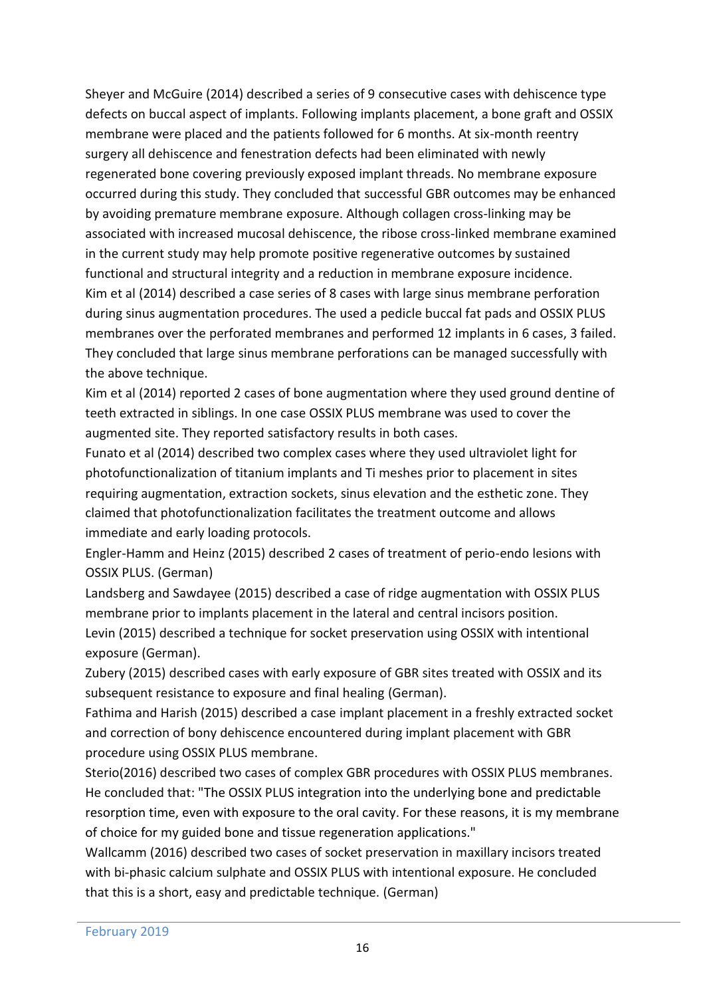Sheyer and McGuire (2014) described a series of 9 consecutive cases with dehiscence type defects on buccal aspect of implants. Following implants placement, a bone graft and OSSIX membrane were placed and the patients followed for 6 months. At six-month reentry surgery all dehiscence and fenestration defects had been eliminated with newly regenerated bone covering previously exposed implant threads. No membrane exposure occurred during this study. They concluded that successful GBR outcomes may be enhanced by avoiding premature membrane exposure. Although collagen cross-linking may be associated with increased mucosal dehiscence, the ribose cross-linked membrane examined in the current study may help promote positive regenerative outcomes by sustained functional and structural integrity and a reduction in membrane exposure incidence. Kim et al (2014) described a case series of 8 cases with large sinus membrane perforation during sinus augmentation procedures. The used a pedicle buccal fat pads and OSSIX PLUS membranes over the perforated membranes and performed 12 implants in 6 cases, 3 failed. They concluded that large sinus membrane perforations can be managed successfully with the above technique.

Kim et al (2014) reported 2 cases of bone augmentation where they used ground dentine of teeth extracted in siblings. In one case OSSIX PLUS membrane was used to cover the augmented site. They reported satisfactory results in both cases.

Funato et al (2014) described two complex cases where they used ultraviolet light for photofunctionalization of titanium implants and Ti meshes prior to placement in sites requiring augmentation, extraction sockets, sinus elevation and the esthetic zone. They claimed that photofunctionalization facilitates the treatment outcome and allows immediate and early loading protocols.

Engler-Hamm and Heinz (2015) described 2 cases of treatment of perio-endo lesions with OSSIX PLUS. (German)

Landsberg and Sawdayee (2015) described a case of ridge augmentation with OSSIX PLUS membrane prior to implants placement in the lateral and central incisors position. Levin (2015) described a technique for socket preservation using OSSIX with intentional exposure (German).

Zubery (2015) described cases with early exposure of GBR sites treated with OSSIX and its subsequent resistance to exposure and final healing (German).

Fathima and Harish (2015) described a case implant placement in a freshly extracted socket and correction of bony dehiscence encountered during implant placement with GBR procedure using OSSIX PLUS membrane.

Sterio(2016) described two cases of complex GBR procedures with OSSIX PLUS membranes. He concluded that: "The OSSIX PLUS integration into the underlying bone and predictable resorption time, even with exposure to the oral cavity. For these reasons, it is my membrane of choice for my guided bone and tissue regeneration applications."

Wallcamm (2016) described two cases of socket preservation in maxillary incisors treated with bi-phasic calcium sulphate and OSSIX PLUS with intentional exposure. He concluded that this is a short, easy and predictable technique. (German)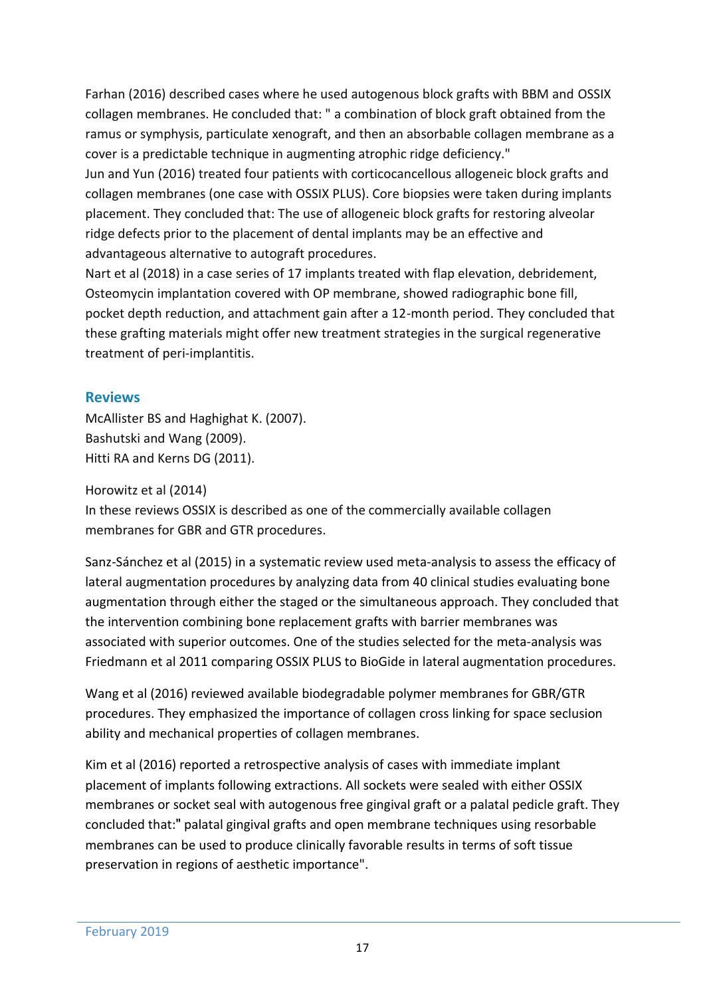Farhan (2016) described cases where he used autogenous block grafts with BBM and OSSIX collagen membranes. He concluded that: " a combination of block graft obtained from the ramus or symphysis, particulate xenograft, and then an absorbable collagen membrane as a cover is a predictable technique in augmenting atrophic ridge deficiency."

Jun and Yun (2016) treated four patients with corticocancellous allogeneic block grafts and collagen membranes (one case with OSSIX PLUS). Core biopsies were taken during implants placement. They concluded that: The use of allogeneic block grafts for restoring alveolar ridge defects prior to the placement of dental implants may be an effective and advantageous alternative to autograft procedures.

Nart et al (2018) in a case series of 17 implants treated with flap elevation, debridement, Osteomycin implantation covered with OP membrane, showed radiographic bone fill, pocket depth reduction, and attachment gain after a 12-month period. They concluded that these grafting materials might offer new treatment strategies in the surgical regenerative treatment of peri-implantitis.

#### **Reviews**

McAllister BS and Haghighat K. (2007). Bashutski and Wang (2009). Hitti RA and Kerns DG (2011).

Horowitz et al (2014)

In these reviews OSSIX is described as one of the commercially available collagen membranes for GBR and GTR procedures.

Sanz-Sánchez et al (2015) in a systematic review used meta-analysis to assess the efficacy of lateral augmentation procedures by analyzing data from 40 clinical studies evaluating bone augmentation through either the staged or the simultaneous approach. They concluded that the intervention combining bone replacement grafts with barrier membranes was associated with superior outcomes. One of the studies selected for the meta-analysis was Friedmann et al 2011 comparing OSSIX PLUS to BioGide in lateral augmentation procedures.

Wang et al (2016) reviewed available biodegradable polymer membranes for GBR/GTR procedures. They emphasized the importance of collagen cross linking for space seclusion ability and mechanical properties of collagen membranes.

Kim et al (2016) reported a retrospective analysis of cases with immediate implant placement of implants following extractions. All sockets were sealed with either OSSIX membranes or socket seal with autogenous free gingival graft or a palatal pedicle graft. They concluded that:" palatal gingival grafts and open membrane techniques using resorbable membranes can be used to produce clinically favorable results in terms of soft tissue preservation in regions of aesthetic importance".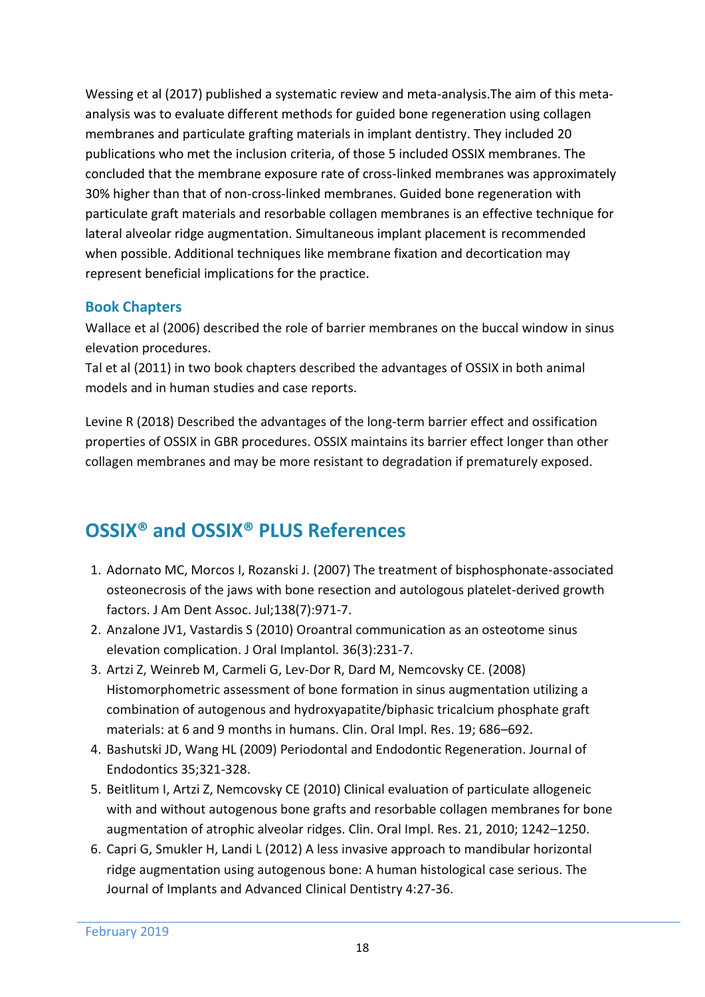Wessing et al (2017) published a systematic review and meta-analysis.The aim of this metaanalysis was to evaluate different methods for guided bone regeneration using collagen membranes and particulate grafting materials in implant dentistry. They included 20 publications who met the inclusion criteria, of those 5 included OSSIX membranes. The concluded that the membrane exposure rate of cross-linked membranes was approximately 30% higher than that of non-cross-linked membranes. Guided bone regeneration with particulate graft materials and resorbable collagen membranes is an effective technique for lateral alveolar ridge augmentation. Simultaneous implant placement is recommended when possible. Additional techniques like membrane fixation and decortication may represent beneficial implications for the practice.

## **Book Chapters**

Wallace et al (2006) described the role of barrier membranes on the buccal window in sinus elevation procedures.

Tal et al (2011) in two book chapters described the advantages of OSSIX in both animal models and in human studies and case reports.

Levine R (2018) Described the advantages of the long-term barrier effect and ossification properties of OSSIX in GBR procedures. OSSIX maintains its barrier effect longer than other collagen membranes and may be more resistant to degradation if prematurely exposed.

# **OSSIX® and OSSIX® PLUS References**

- 1. Adornato MC, Morcos I, Rozanski J. (2007) The treatment of bisphosphonate-associated osteonecrosis of the jaws with bone resection and autologous platelet-derived growth factors. J Am Dent Assoc. Jul;138(7):971-7.
- 2. Anzalone JV1, Vastardis S (2010) Oroantral communication as an osteotome sinus elevation complication. J Oral Implantol. 36(3):231-7.
- 3. Artzi Z, Weinreb M, Carmeli G, Lev-Dor R, Dard M, Nemcovsky CE. (2008) Histomorphometric assessment of bone formation in sinus augmentation utilizing a combination of autogenous and hydroxyapatite/biphasic tricalcium phosphate graft materials: at 6 and 9 months in humans. Clin. Oral Impl. Res. 19; 686–692.
- 4. Bashutski JD, Wang HL (2009) Periodontal and Endodontic Regeneration. Journal of Endodontics 35;321-328.
- 5. Beitlitum I, Artzi Z, Nemcovsky CE (2010) Clinical evaluation of particulate allogeneic with and without autogenous bone grafts and resorbable collagen membranes for bone augmentation of atrophic alveolar ridges. Clin. Oral Impl. Res. 21, 2010; 1242–1250.
- 6. Capri G, Smukler H, Landi L (2012) A less invasive approach to mandibular horizontal ridge augmentation using autogenous bone: A human histological case serious. The Journal of Implants and Advanced Clinical Dentistry 4:27-36.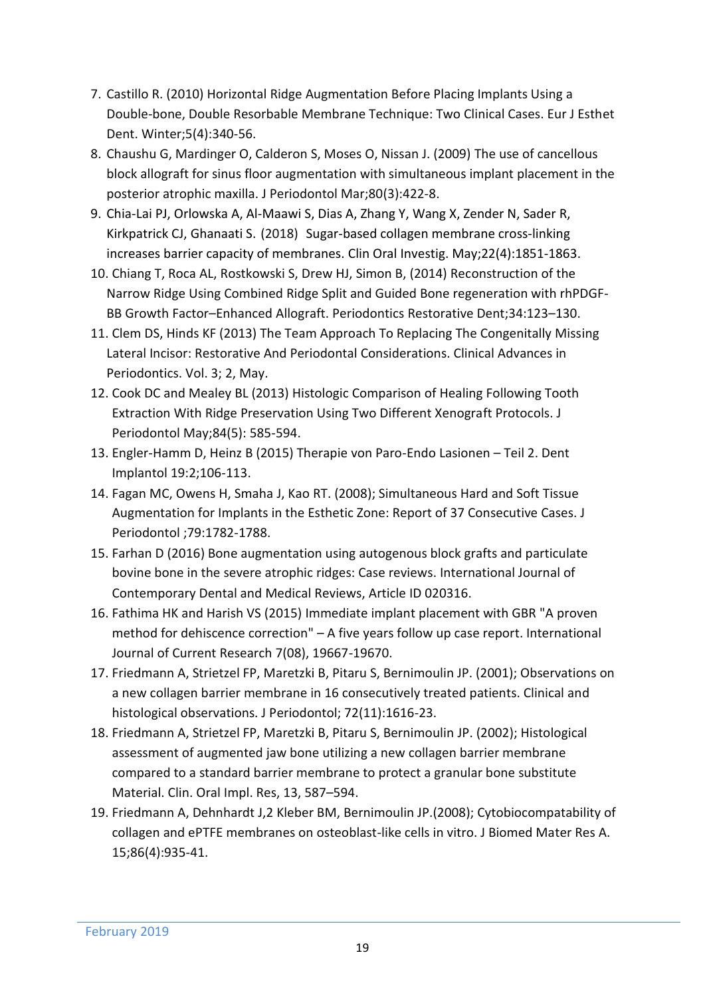- 7. Castillo R. (2010) Horizontal Ridge Augmentation Before Placing Implants Using a Double-bone, Double Resorbable Membrane Technique: Two Clinical Cases. Eur J Esthet Dent. Winter;5(4):340-56.
- 8. Chaushu G, Mardinger O, Calderon S, Moses O, Nissan J. (2009) The use of cancellous block allograft for sinus floor augmentation with simultaneous implant placement in the posterior atrophic maxilla. J Periodontol Mar;80(3):422-8.
- 9. [Chia-Lai PJ,](https://www.ncbi.nlm.nih.gov/pubmed/?term=Chia-Lai%20PJ%5BAuthor%5D&cauthor=true&cauthor_uid=29209937) [Orlowska A,](https://www.ncbi.nlm.nih.gov/pubmed/?term=Orlowska%20A%5BAuthor%5D&cauthor=true&cauthor_uid=29209937) [Al-Maawi S,](https://www.ncbi.nlm.nih.gov/pubmed/?term=Al-Maawi%20S%5BAuthor%5D&cauthor=true&cauthor_uid=29209937) [Dias A,](https://www.ncbi.nlm.nih.gov/pubmed/?term=Dias%20A%5BAuthor%5D&cauthor=true&cauthor_uid=29209937) [Zhang Y,](https://www.ncbi.nlm.nih.gov/pubmed/?term=Zhang%20Y%5BAuthor%5D&cauthor=true&cauthor_uid=29209937) [Wang X,](https://www.ncbi.nlm.nih.gov/pubmed/?term=Wang%20X%5BAuthor%5D&cauthor=true&cauthor_uid=29209937) [Zender N,](https://www.ncbi.nlm.nih.gov/pubmed/?term=Zender%20N%5BAuthor%5D&cauthor=true&cauthor_uid=29209937) [Sader R,](https://www.ncbi.nlm.nih.gov/pubmed/?term=Sader%20R%5BAuthor%5D&cauthor=true&cauthor_uid=29209937) [Kirkpatrick CJ,](https://www.ncbi.nlm.nih.gov/pubmed/?term=Kirkpatrick%20CJ%5BAuthor%5D&cauthor=true&cauthor_uid=29209937) [Ghanaati S.](https://www.ncbi.nlm.nih.gov/pubmed/?term=Ghanaati%20S%5BAuthor%5D&cauthor=true&cauthor_uid=29209937) (2018) Sugar-based collagen membrane cross-linking increases barrier capacity of membranes. [Clin Oral Investig.](https://www.ncbi.nlm.nih.gov/pubmed/?term=Sugar-based+collagen+membrane+cross-linking+increases+barrier) May;22(4):1851-1863.
- 10. Chiang T, Roca AL, Rostkowski S, Drew HJ, Simon B, (2014) Reconstruction of the Narrow Ridge Using Combined Ridge Split and Guided Bone regeneration with rhPDGF-BB Growth Factor–Enhanced Allograft. Periodontics Restorative Dent;34:123–130.
- 11. Clem DS, Hinds KF (2013) The Team Approach To Replacing The Congenitally Missing Lateral Incisor: Restorative And Periodontal Considerations. Clinical Advances in Periodontics. Vol. 3; 2, May.
- 12. Cook DC and Mealey BL (2013) Histologic Comparison of Healing Following Tooth Extraction With Ridge Preservation Using Two Different Xenograft Protocols. J Periodontol May;84(5): 585-594.
- 13. Engler-Hamm D, Heinz B (2015) Therapie von Paro-Endo Lasionen Teil 2. Dent Implantol 19:2;106-113.
- 14. Fagan MC, Owens H, Smaha J, Kao RT. (2008); Simultaneous Hard and Soft Tissue Augmentation for Implants in the Esthetic Zone: Report of 37 Consecutive Cases. J Periodontol ;79:1782-1788.
- 15. Farhan D (2016) Bone augmentation using autogenous block grafts and particulate bovine bone in the severe atrophic ridges: Case reviews. International Journal of Contemporary Dental and Medical Reviews, Article ID 020316.
- 16. Fathima HK and Harish VS (2015) Immediate implant placement with GBR "A proven method for dehiscence correction" – A five years follow up case report. International Journal of Current Research 7(08), 19667-19670.
- 17. Friedmann A, Strietzel FP, Maretzki B, Pitaru S, Bernimoulin JP. (2001); Observations on a new collagen barrier membrane in 16 consecutively treated patients. Clinical and histological observations. J Periodontol; 72(11):1616-23.
- 18. Friedmann A, Strietzel FP, Maretzki B, Pitaru S, Bernimoulin JP. (2002); Histological assessment of augmented jaw bone utilizing a new collagen barrier membrane compared to a standard barrier membrane to protect a granular bone substitute Material. Clin. Oral Impl. Res, 13, 587–594.
- 19. Friedmann A, Dehnhardt J,2 Kleber BM, Bernimoulin JP.(2008); Cytobiocompatability of collagen and ePTFE membranes on osteoblast-like cells in vitro. J Biomed Mater Res A. 15;86(4):935-41.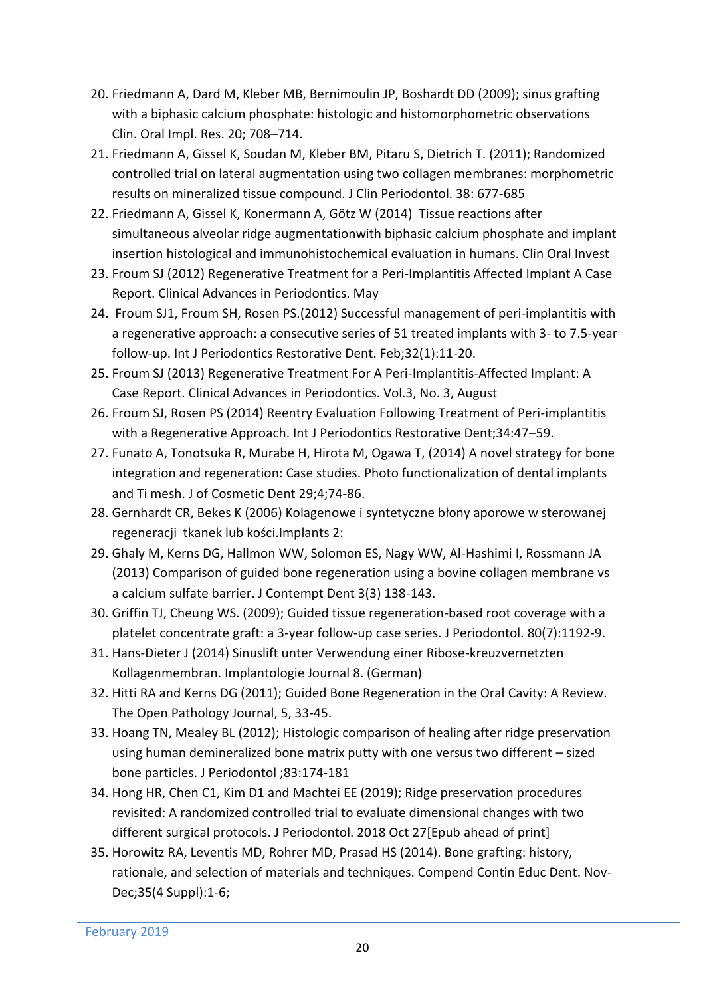- 20. Friedmann A, Dard M, Kleber MB, Bernimoulin JP, Boshardt DD (2009); sinus grafting with a biphasic calcium phosphate: histologic and histomorphometric observations Clin. Oral Impl. Res. 20; 708–714.
- 21. Friedmann A, Gissel K, Soudan M, Kleber BM, Pitaru S, Dietrich T. (2011); Randomized controlled trial on lateral augmentation using two collagen membranes: morphometric results on mineralized tissue compound. J Clin Periodontol. 38: 677-685
- 22. Friedmann A, Gissel K, Konermann A, Götz W (2014) Tissue reactions after simultaneous alveolar ridge augmentationwith biphasic calcium phosphate and implant insertion histological and immunohistochemical evaluation in humans. Clin Oral Invest
- 23. Froum SJ (2012) Regenerative Treatment for a Peri-Implantitis Affected Implant A Case Report. Clinical Advances in Periodontics. May
- 24. Froum SJ1, Froum SH, Rosen PS.(2012) Successful management of peri-implantitis with a regenerative approach: a consecutive series of 51 treated implants with 3- to 7.5-year follow-up. Int J Periodontics Restorative Dent. Feb;32(1):11-20.
- 25. Froum SJ (2013) Regenerative Treatment For A Peri-Implantitis-Affected Implant: A Case Report. Clinical Advances in Periodontics. Vol.3, No. 3, August
- 26. Froum SJ, Rosen PS (2014) Reentry Evaluation Following Treatment of Peri-implantitis with a Regenerative Approach. Int J Periodontics Restorative Dent;34:47–59.
- 27. Funato A, Tonotsuka R, Murabe H, Hirota M, Ogawa T, (2014) A novel strategy for bone integration and regeneration: Case studies. Photo functionalization of dental implants and Ti mesh. J of Cosmetic Dent 29;4;74-86.
- 28. Gernhardt CR, Bekes K (2006) Kolagenowe i syntetyczne błony aporowe w sterowanej regeneracji tkanek lub kości.Implants 2:
- 29. Ghaly M, Kerns DG, Hallmon WW, Solomon ES, Nagy WW, Al-Hashimi I, Rossmann JA (2013) Comparison of guided bone regeneration using a bovine collagen membrane vs a calcium sulfate barrier. J Contempt Dent 3(3) 138-143.
- 30. Griffin TJ, Cheung WS. (2009); Guided tissue regeneration-based root coverage with a platelet concentrate graft: a 3-year follow-up case series. J Periodontol. 80(7):1192-9.
- 31. Hans-Dieter J (2014) Sinuslift unter Verwendung einer Ribose-kreuzvernetzten Kollagenmembran. Implantologie Journal 8. (German)
- 32. Hitti RA and Kerns DG (2011); Guided Bone Regeneration in the Oral Cavity: A Review. The Open Pathology Journal, 5, 33-45.
- 33. Hoang TN, Mealey BL (2012); Histologic comparison of healing after ridge preservation using human demineralized bone matrix putty with one versus two different – sized bone particles. J Periodontol ;83:174-181
- 34. Hong HR, Chen C1, Kim D1 and Machtei EE (2019); Ridge preservation procedures revisited: A randomized controlled trial to evaluate dimensional changes with two different surgical protocols. J Periodontol. 2018 Oct 27[Epub ahead of print]
- 35. Horowitz RA, Leventis MD, Rohrer MD, Prasad HS (2014). Bone grafting: history, rationale, and selection of materials and techniques. Compend Contin Educ Dent. Nov-Dec;35(4 Suppl):1-6;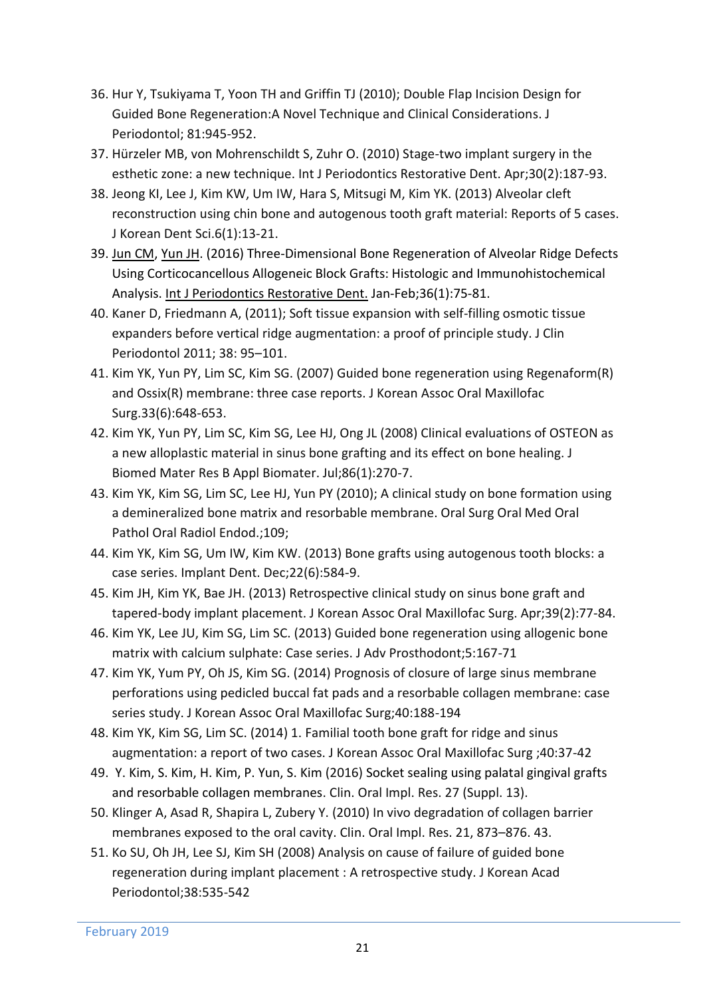- 36. Hur Y, Tsukiyama T, Yoon TH and Griffin TJ (2010); Double Flap Incision Design for Guided Bone Regeneration:A Novel Technique and Clinical Considerations. J Periodontol; 81:945-952.
- 37. Hürzeler MB, von Mohrenschildt S, Zuhr O. (2010) Stage-two implant surgery in the esthetic zone: a new technique. Int J Periodontics Restorative Dent. Apr;30(2):187-93.
- 38. Jeong KI, Lee J, Kim KW, Um IW, Hara S, Mitsugi M, Kim YK. (2013) Alveolar cleft reconstruction using chin bone and autogenous tooth graft material: Reports of 5 cases. J Korean Dent Sci.6(1):13-21.
- 39. [Jun CM,](https://www.ncbi.nlm.nih.gov/pubmed/?term=Jun%20CM%5BAuthor%5D&cauthor=true&cauthor_uid=26697555) [Yun JH.](https://www.ncbi.nlm.nih.gov/pubmed/?term=Yun%20JH%5BAuthor%5D&cauthor=true&cauthor_uid=26697555) (2016) Three-Dimensional Bone Regeneration of Alveolar Ridge Defects Using Corticocancellous Allogeneic Block Grafts: Histologic and Immunohistochemical Analysis. [Int J Periodontics Restorative Dent.](https://www.ncbi.nlm.nih.gov/pubmed/26697555) Jan-Feb;36(1):75-81.
- 40. Kaner D, Friedmann A, (2011); Soft tissue expansion with self-filling osmotic tissue expanders before vertical ridge augmentation: a proof of principle study. J Clin Periodontol 2011; 38: 95–101.
- 41. Kim YK, Yun PY, Lim SC, Kim SG. (2007) Guided bone regeneration using Regenaform(R) and Ossix(R) membrane: three case reports. J Korean Assoc Oral Maxillofac Surg.33(6):648-653.
- 42. Kim YK, Yun PY, Lim SC, Kim SG, Lee HJ, Ong JL (2008) Clinical evaluations of OSTEON as a new alloplastic material in sinus bone grafting and its effect on bone healing. J Biomed Mater Res B Appl Biomater. Jul;86(1):270-7.
- 43. Kim YK, Kim SG, Lim SC, Lee HJ, Yun PY (2010); A clinical study on bone formation using a demineralized bone matrix and resorbable membrane. Oral Surg Oral Med Oral Pathol Oral Radiol Endod.;109;
- 44. Kim YK, Kim SG, Um IW, Kim KW. (2013) Bone grafts using autogenous tooth blocks: a case series. Implant Dent. Dec;22(6):584-9.
- 45. Kim JH, Kim YK, Bae JH. (2013) Retrospective clinical study on sinus bone graft and tapered-body implant placement. J Korean Assoc Oral Maxillofac Surg. Apr;39(2):77-84.
- 46. Kim YK, Lee JU, Kim SG, Lim SC. (2013) Guided bone regeneration using allogenic bone matrix with calcium sulphate: Case series. J Adv Prosthodont;5:167-71
- 47. Kim YK, Yum PY, Oh JS, Kim SG. (2014) Prognosis of closure of large sinus membrane perforations using pedicled buccal fat pads and a resorbable collagen membrane: case series study. J Korean Assoc Oral Maxillofac Surg;40:188-194
- 48. Kim YK, Kim SG, Lim SC. (2014) 1. Familial tooth bone graft for ridge and sinus augmentation: a report of two cases. J Korean Assoc Oral Maxillofac Surg ;40:37-42
- 49. Y. Kim, S. Kim, H. Kim, P. Yun, S. Kim (2016) Socket sealing using palatal gingival grafts and resorbable collagen membranes. Clin. Oral Impl. Res. 27 (Suppl. 13).
- 50. Klinger A, Asad R, Shapira L, Zubery Y. (2010) In vivo degradation of collagen barrier membranes exposed to the oral cavity. Clin. Oral Impl. Res. 21, 873–876. 43.
- 51. Ko SU, Oh JH, Lee SJ, Kim SH (2008) Analysis on cause of failure of guided bone regeneration during implant placement : A retrospective study. J Korean Acad Periodontol;38:535-542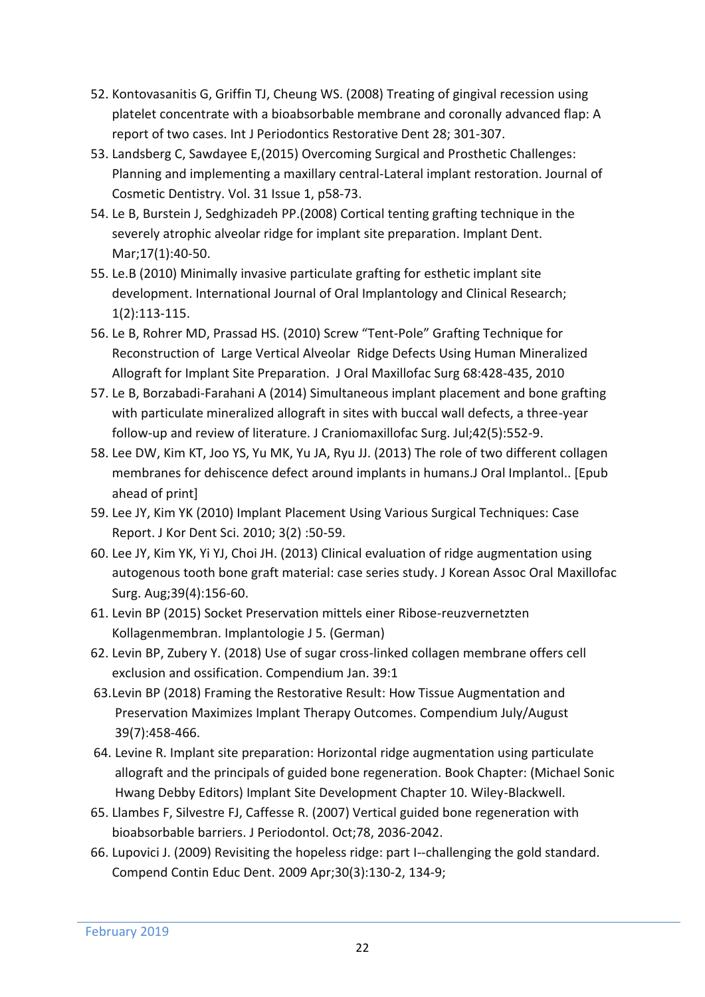- 52. Kontovasanitis G, Griffin TJ, Cheung WS. (2008) Treating of gingival recession using platelet concentrate with a bioabsorbable membrane and coronally advanced flap: A report of two cases. Int J Periodontics Restorative Dent 28; 301-307.
- 53. Landsberg C, Sawdayee E,(2015) Overcoming Surgical and Prosthetic Challenges: Planning and implementing a maxillary central-Lateral implant restoration. Journal of Cosmetic Dentistry. Vol. 31 Issue 1, p58-73.
- 54. Le B, Burstein J, Sedghizadeh PP.(2008) Cortical tenting grafting technique in the severely atrophic alveolar ridge for implant site preparation. Implant Dent. Mar;17(1):40-50.
- 55. Le.B (2010) Minimally invasive particulate grafting for esthetic implant site development. International Journal of Oral Implantology and Clinical Research; 1(2):113-115.
- 56. Le B, Rohrer MD, Prassad HS. (2010) Screw "Tent-Pole" Grafting Technique for Reconstruction of Large Vertical Alveolar Ridge Defects Using Human Mineralized Allograft for Implant Site Preparation. J Oral Maxillofac Surg 68:428-435, 2010
- 57. Le B, Borzabadi-Farahani A (2014) Simultaneous implant placement and bone grafting with particulate mineralized allograft in sites with buccal wall defects, a three-year follow-up and review of literature. J Craniomaxillofac Surg. Jul;42(5):552-9.
- 58. Lee DW, Kim KT, Joo YS, Yu MK, Yu JA, Ryu JJ. (2013) The role of two different collagen membranes for dehiscence defect around implants in humans.J Oral Implantol.. [Epub ahead of print]
- 59. Lee JY, Kim YK (2010) Implant Placement Using Various Surgical Techniques: Case Report. J Kor Dent Sci. 2010; 3(2) :50-59.
- 60. Lee JY, Kim YK, Yi YJ, Choi JH. (2013) Clinical evaluation of ridge augmentation using autogenous tooth bone graft material: case series study. J Korean Assoc Oral Maxillofac Surg. Aug;39(4):156-60.
- 61. Levin BP (2015) Socket Preservation mittels einer Ribose-reuzvernetzten Kollagenmembran. Implantologie J 5. (German)
- 62. Levin BP, Zubery Y. (2018) Use of sugar cross-linked collagen membrane offers cell exclusion and ossification. Compendium Jan. 39:1
- 63.Levin BP (2018) Framing the Restorative Result: How Tissue Augmentation and Preservation Maximizes Implant Therapy Outcomes. Compendium July/August 39(7):458-466.
- 64. Levine R. Implant site preparation: Horizontal ridge augmentation using particulate allograft and the principals of guided bone regeneration. Book Chapter: (Michael Sonic Hwang Debby Editors) Implant Site Development Chapter 10. Wiley-Blackwell.
- 65. Llambes F, Silvestre FJ, Caffesse R. (2007) Vertical guided bone regeneration with bioabsorbable barriers. J Periodontol. Oct;78, 2036-2042.
- 66. Lupovici J. (2009) Revisiting the hopeless ridge: part I--challenging the gold standard. Compend Contin Educ Dent. 2009 Apr;30(3):130-2, 134-9;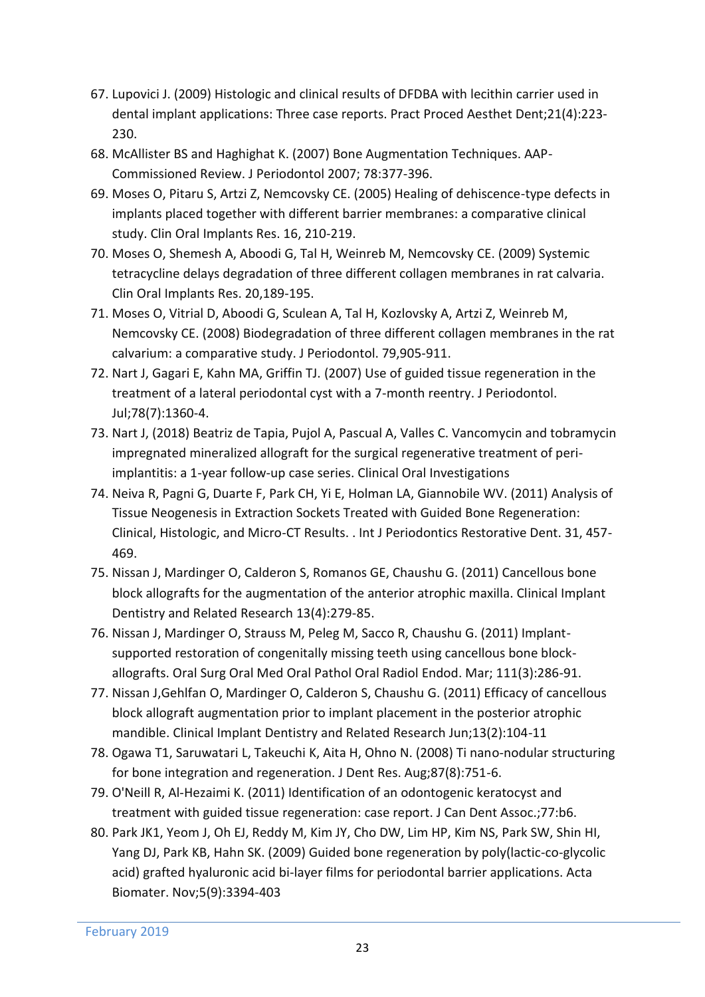- 67. Lupovici J. (2009) Histologic and clinical results of DFDBA with lecithin carrier used in dental implant applications: Three case reports. Pract Proced Aesthet Dent;21(4):223- 230.
- 68. McAllister BS and Haghighat K. (2007) Bone Augmentation Techniques. AAP-Commissioned Review. J Periodontol 2007; 78:377-396.
- 69. Moses O, Pitaru S, Artzi Z, Nemcovsky CE. (2005) Healing of dehiscence-type defects in implants placed together with different barrier membranes: a comparative clinical study. Clin Oral Implants Res. 16, 210-219.
- 70. Moses O, Shemesh A, Aboodi G, Tal H, Weinreb M, Nemcovsky CE. (2009) Systemic tetracycline delays degradation of three different collagen membranes in rat calvaria. Clin Oral Implants Res. 20,189-195.
- 71. Moses O, Vitrial D, Aboodi G, Sculean A, Tal H, Kozlovsky A, Artzi Z, Weinreb M, Nemcovsky CE. (2008) Biodegradation of three different collagen membranes in the rat calvarium: a comparative study. J Periodontol. 79,905-911.
- 72. Nart J, Gagari E, Kahn MA, Griffin TJ. (2007) Use of guided tissue regeneration in the treatment of a lateral periodontal cyst with a 7-month reentry. J Periodontol. Jul;78(7):1360-4.
- 73. Nart J, (2018) Beatriz de Tapia, Pujol A, Pascual A, Valles C. Vancomycin and tobramycin impregnated mineralized allograft for the surgical regenerative treatment of periimplantitis: a 1-year follow-up case series. Clinical Oral Investigations
- 74. Neiva R, Pagni G, Duarte F, Park CH, Yi E, Holman LA, Giannobile WV. (2011) Analysis of Tissue Neogenesis in Extraction Sockets Treated with Guided Bone Regeneration: Clinical, Histologic, and Micro-CT Results. . Int J Periodontics Restorative Dent. 31, 457- 469.
- 75. Nissan J, Mardinger O, Calderon S, Romanos GE, Chaushu G. (2011) Cancellous bone block allografts for the augmentation of the anterior atrophic maxilla. Clinical Implant Dentistry and Related Research 13(4):279-85.
- 76. Nissan J, Mardinger O, Strauss M, Peleg M, Sacco R, Chaushu G. (2011) Implantsupported restoration of congenitally missing teeth using cancellous bone blockallografts. Oral Surg Oral Med Oral Pathol Oral Radiol Endod. Mar; 111(3):286-91.
- 77. Nissan J,Gehlfan O, Mardinger O, Calderon S, Chaushu G. (2011) Efficacy of cancellous block allograft augmentation prior to implant placement in the posterior atrophic mandible. Clinical Implant Dentistry and Related Research Jun;13(2):104-11
- 78. Ogawa T1, Saruwatari L, Takeuchi K, Aita H, Ohno N. (2008) Ti nano-nodular structuring for bone integration and regeneration. J Dent Res. Aug;87(8):751-6.
- 79. O'Neill R, Al-Hezaimi K. (2011) Identification of an odontogenic keratocyst and treatment with guided tissue regeneration: case report. J Can Dent Assoc.;77:b6.
- 80. Park JK1, Yeom J, Oh EJ, Reddy M, Kim JY, Cho DW, Lim HP, Kim NS, Park SW, Shin HI, Yang DJ, Park KB, Hahn SK. (2009) Guided bone regeneration by poly(lactic-co-glycolic acid) grafted hyaluronic acid bi-layer films for periodontal barrier applications. Acta Biomater. Nov;5(9):3394-403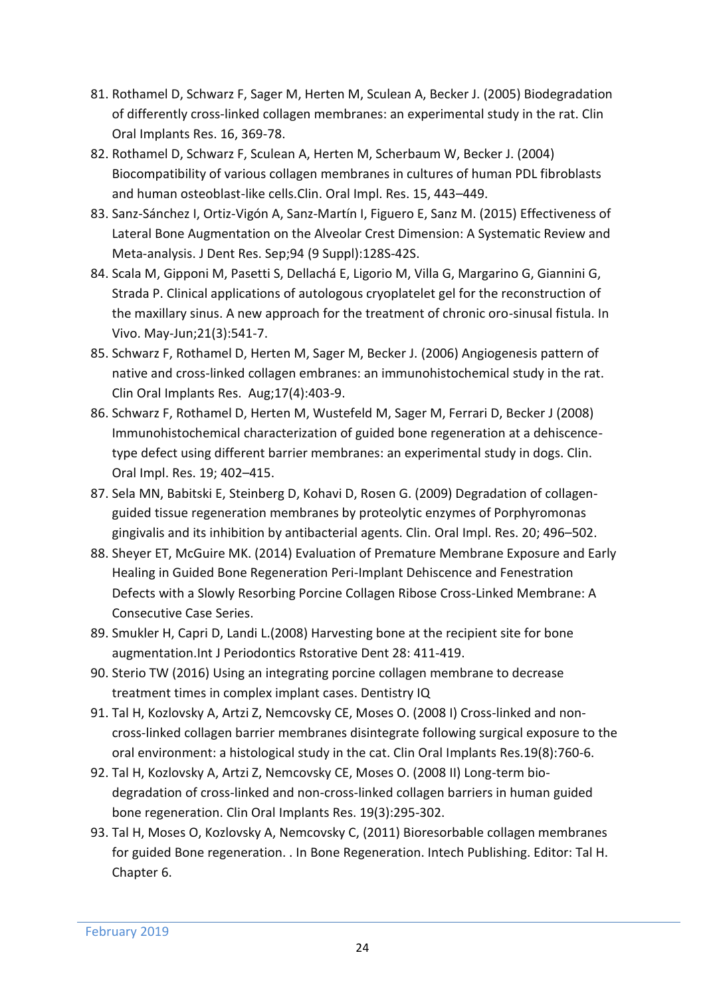- 81. Rothamel D, Schwarz F, Sager M, Herten M, Sculean A, Becker J. (2005) Biodegradation of differently cross-linked collagen membranes: an experimental study in the rat. Clin Oral Implants Res. 16, 369-78.
- 82. Rothamel D, Schwarz F, Sculean A, Herten M, Scherbaum W, Becker J. (2004) Biocompatibility of various collagen membranes in cultures of human PDL fibroblasts and human osteoblast-like cells.Clin. Oral Impl. Res. 15, 443–449.
- 83. Sanz-Sánchez I, Ortiz-Vigón A, Sanz-Martín I, Figuero E, Sanz M. (2015) Effectiveness of Lateral Bone Augmentation on the Alveolar Crest Dimension: A Systematic Review and Meta-analysis. J Dent Res. Sep;94 (9 Suppl):128S-42S.
- 84. Scala M, Gipponi M, Pasetti S, Dellachá E, Ligorio M, Villa G, Margarino G, Giannini G, Strada P. Clinical applications of autologous cryoplatelet gel for the reconstruction of the maxillary sinus. A new approach for the treatment of chronic oro-sinusal fistula. In Vivo. May-Jun;21(3):541-7.
- 85. Schwarz F, Rothamel D, Herten M, Sager M, Becker J. (2006) Angiogenesis pattern of native and cross-linked collagen embranes: an immunohistochemical study in the rat. Clin Oral Implants Res. Aug;17(4):403-9.
- 86. Schwarz F, Rothamel D, Herten M, Wustefeld M, Sager M, Ferrari D, Becker J (2008) Immunohistochemical characterization of guided bone regeneration at a dehiscencetype defect using different barrier membranes: an experimental study in dogs. Clin. Oral Impl. Res. 19; 402–415.
- 87. Sela MN, Babitski E, Steinberg D, Kohavi D, Rosen G. (2009) Degradation of collagenguided tissue regeneration membranes by proteolytic enzymes of Porphyromonas gingivalis and its inhibition by antibacterial agents. Clin. Oral Impl. Res. 20; 496–502.
- 88. Sheyer ET, McGuire MK. (2014) Evaluation of Premature Membrane Exposure and Early Healing in Guided Bone Regeneration Peri-Implant Dehiscence and Fenestration Defects with a Slowly Resorbing Porcine Collagen Ribose Cross-Linked Membrane: A Consecutive Case Series.
- 89. Smukler H, Capri D, Landi L.(2008) Harvesting bone at the recipient site for bone augmentation.Int J Periodontics Rstorative Dent 28: 411-419.
- 90. Sterio TW (2016) Using an integrating porcine collagen membrane to decrease treatment times in complex implant cases. Dentistry IQ
- 91. Tal H, Kozlovsky A, Artzi Z, Nemcovsky CE, Moses O. (2008 I) Cross-linked and noncross-linked collagen barrier membranes disintegrate following surgical exposure to the oral environment: a histological study in the cat. Clin Oral Implants Res.19(8):760-6.
- 92. Tal H, Kozlovsky A, Artzi Z, Nemcovsky CE, Moses O. (2008 II) Long-term biodegradation of cross-linked and non-cross-linked collagen barriers in human guided bone regeneration. Clin Oral Implants Res. 19(3):295-302.
- 93. Tal H, Moses O, Kozlovsky A, Nemcovsky C, (2011) Bioresorbable collagen membranes for guided Bone regeneration. . In Bone Regeneration. Intech Publishing. Editor: Tal H. Chapter 6.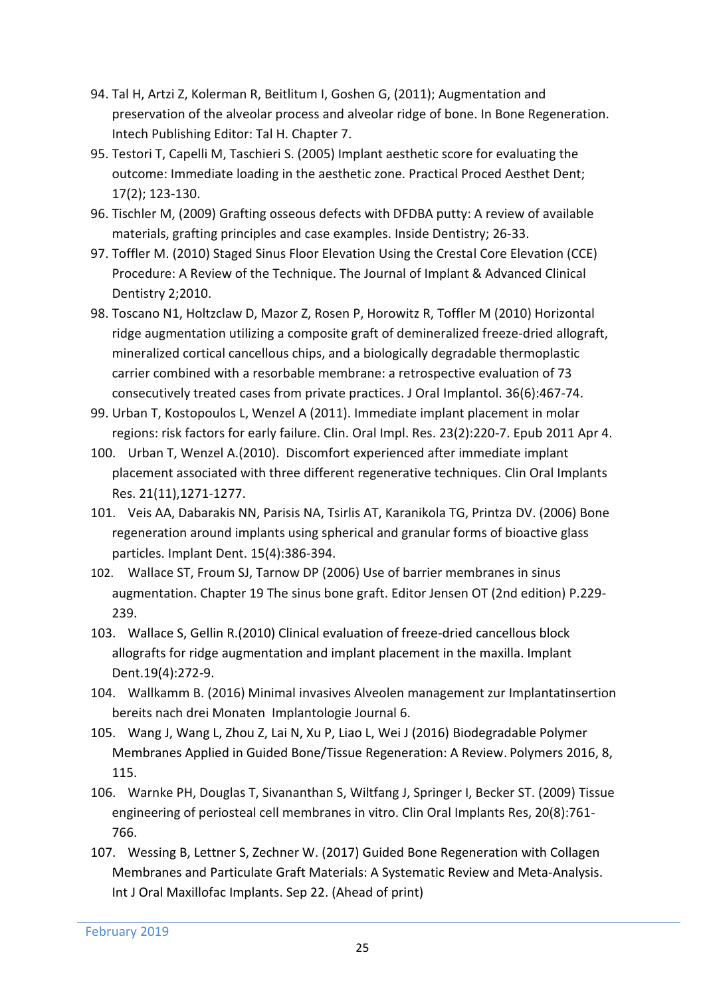- 94. Tal H, Artzi Z, Kolerman R, Beitlitum I, Goshen G, (2011); Augmentation and preservation of the alveolar process and alveolar ridge of bone. In Bone Regeneration. Intech Publishing Editor: Tal H. Chapter 7.
- 95. Testori T, Capelli M, Taschieri S. (2005) Implant aesthetic score for evaluating the outcome: Immediate loading in the aesthetic zone. Practical Proced Aesthet Dent; 17(2); 123-130.
- 96. Tischler M, (2009) Grafting osseous defects with DFDBA putty: A review of available materials, grafting principles and case examples. Inside Dentistry; 26-33.
- 97. Toffler M. (2010) Staged Sinus Floor Elevation Using the Crestal Core Elevation (CCE) Procedure: A Review of the Technique. The Journal of Implant & Advanced Clinical Dentistry 2;2010.
- 98. Toscano N1, Holtzclaw D, Mazor Z, Rosen P, Horowitz R, Toffler M (2010) Horizontal ridge augmentation utilizing a composite graft of demineralized freeze-dried allograft, mineralized cortical cancellous chips, and a biologically degradable thermoplastic carrier combined with a resorbable membrane: a retrospective evaluation of 73 consecutively treated cases from private practices. J Oral Implantol. 36(6):467-74.
- 99. Urban T, Kostopoulos L, Wenzel A (2011). Immediate implant placement in molar regions: risk factors for early failure. Clin. Oral Impl. Res. 23(2):220-7. Epub 2011 Apr 4.
- 100. Urban T, Wenzel A.(2010). Discomfort experienced after immediate implant placement associated with three different regenerative techniques. Clin Oral Implants Res. 21(11),1271-1277.
- 101. Veis AA, Dabarakis NN, Parisis NA, Tsirlis AT, Karanikola TG, Printza DV. (2006) Bone regeneration around implants using spherical and granular forms of bioactive glass particles. Implant Dent. 15(4):386-394.
- 102. Wallace ST, Froum SJ, Tarnow DP (2006) Use of barrier membranes in sinus augmentation. Chapter 19 The sinus bone graft. Editor Jensen OT (2nd edition) P.229- 239.
- 103. Wallace S, Gellin R.(2010) Clinical evaluation of freeze-dried cancellous block allografts for ridge augmentation and implant placement in the maxilla. Implant Dent.19(4):272-9.
- 104. Wallkamm B. (2016) Minimal invasives Alveolen management zur Implantatinsertion bereits nach drei Monaten Implantologie Journal 6.
- 105. Wang J, Wang L, Zhou Z, Lai N, Xu P, Liao L, Wei J (2016) Biodegradable Polymer Membranes Applied in Guided Bone/Tissue Regeneration: A Review. Polymers 2016, 8, 115.
- 106. Warnke PH, Douglas T, Sivananthan S, Wiltfang J, Springer I, Becker ST. (2009) Tissue engineering of periosteal cell membranes in vitro. Clin Oral Implants Res, 20(8):761- 766.
- 107. [Wessing B,](https://www.ncbi.nlm.nih.gov/pubmed/?term=Wessing%20B%5BAuthor%5D&cauthor=true&cauthor_uid=28938035) [Lettner S,](https://www.ncbi.nlm.nih.gov/pubmed/?term=Lettner%20S%5BAuthor%5D&cauthor=true&cauthor_uid=28938035) [Zechner W.](https://www.ncbi.nlm.nih.gov/pubmed/?term=Zechner%20W%5BAuthor%5D&cauthor=true&cauthor_uid=28938035) (2017) Guided Bone Regeneration with Collagen Membranes and Particulate Graft Materials: A Systematic Review and Meta-Analysis. [Int J Oral Maxillofac Implants.](https://www.ncbi.nlm.nih.gov/pubmed/?term=Guided+Bone+Regeneration+with+Collagen+Membranes+and+Particulate+Graft+Materials%3A+A+Systematic+Review+and+Meta-Analysis.) Sep 22. (Ahead of print)